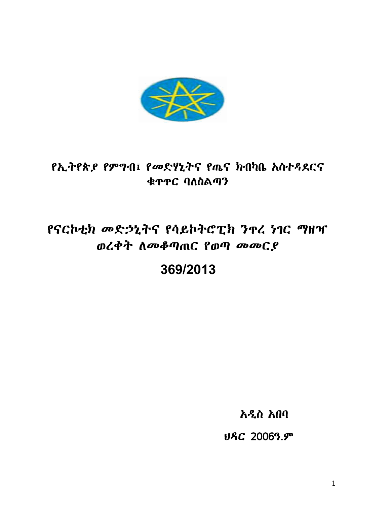

## የኢትየጵ*ያ* የምግብ፤ የመድሃኒትና የጤና ክብካቤ አስተዳደርና ቁዋዋር ባለስልጣን

# የናርኮቲክ መድኃኒትና የሳይኮትሮፒክ ንኖረ ነገር ማዘዣ ወረቀት ስመቆጣጠር የወጣ መመርያ

## **369/2013**

አዲስ አበባ

USC 20069.9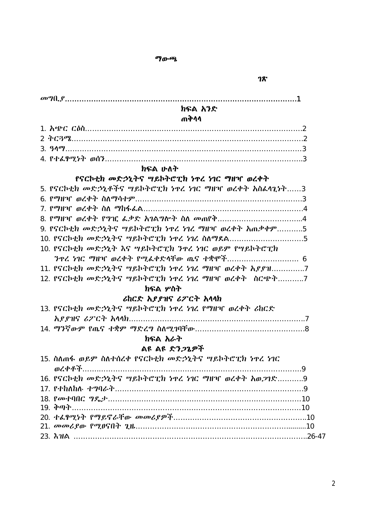#### ÷ƕǫ

#### $\frac{1}{2}$

| $\omega$ or $\eta$ |  |
|--------------------|--|
| ክፍል አንድ            |  |
| ጠቅሳሳ               |  |
|                    |  |
|                    |  |
| 3. $94o$           |  |
|                    |  |

### ክፍል ሁለት

### የናርኮቲክ መድኃኒትና ሣይኮትሮፒክ ነዋሪ ነገር ማዘዣ ወረቀት

| 5. የናርኮቲክ መድኃኒቶችና ሣይኮትሮፒክ ነዋረ ነገር ማዘዣ ወረቀት አስፌላጊነት3 |  |
|-----------------------------------------------------|--|
|                                                     |  |
|                                                     |  |
|                                                     |  |
| 9. የናርኮቲክ መድኃኒትና ሣይኮትሮፒክ ነዋረ ነገረ ማዘዣ ወረቀት አጠቃቀም5    |  |
|                                                     |  |
| 10. የናርኮቲክ መድኃኒት እና ሣይኮትሮፒክ ንዋረ ነገር ወይም የሣይኮትሮፒክ    |  |
|                                                     |  |
|                                                     |  |
| 12. የናርኮቲክ መድኃኒትና ሣይኮትሮፒክ ነዋሪ ነገረ ማዘዣ ወረቀት ሰርጭት7    |  |

### ክፍል ሦስት

### ሪከርድ አያያዝና ሪፖርት አሳሳክ

| 13. የናርኮቲክ መድኃኒትና ሣይኮትሮፒክ ነዋረ ነገረ የማዘዣ ወረቀት ሪከርድ |  |
|--------------------------------------------------|--|
|                                                  |  |
|                                                  |  |

### ክፍል አራት

### ልዩ ልዩ ድን*ጋ*ጌዎች

| 15. ስለጠፋ ወይም ስለተሰረቀ የናርኮቲክ መድኃኒትና ሣይኮትሮፒክ ነዋረ ነገር |  |
|---------------------------------------------------|--|
|                                                   |  |
| 16. የናርኮቲክ መድኃኒትና ሣይኮትሮፒክ ነዋሪ ነገር ማዘዣ ወረቀት አወጋገድ9 |  |
|                                                   |  |
|                                                   |  |
|                                                   |  |
|                                                   |  |
|                                                   |  |
|                                                   |  |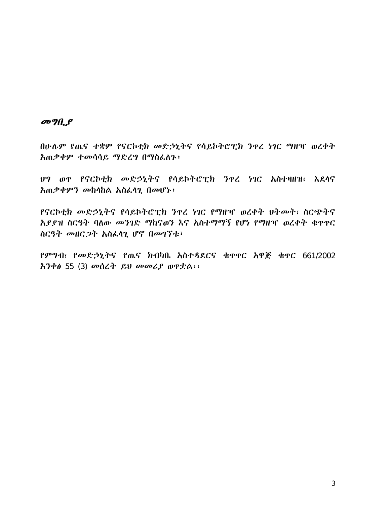### መግቢያ

በሁሉም የጨና ተቋም የናርኮቲክ መድኃኒትና የሳይኮትሮፒክ ንዋረ ነገር ማዘዣ ወረቀት አጠቃቀም ተመሳሳይ ማድረግ በማስፌስጉ፤

ሀግ ወዋ የናርኮቲክ መድኃኒትና የሳይኮትሮፒክ ንዋረ ነገር አስተዛዘዝ፣ እደላና አጠቃቀምን መከላከል አስፌሳጊ በመሆኑ፤

የናርኮቲክ መድኃኒትና የሳይኮትሮፒክ ንዋረ ነገር የማዘዣ ወረቀት ህትመት፣ ስርጭትና አያያዝ ስርዓት ባለው መንገድ ማከናወን እና አስተማማኝ የሆነ የማዘዣ ወረቀት ቁዋዋር ስርዓት መዘርጋት አስፌሳጊ ሆኖ በመገኘቱ፤

የምግብ፣ የመድኃኒትና የጤና ክብካቤ አስተዳደርና ቁዋዋር አዋጅ ቁዋር 661/2002 አንቀፅ 55 (3) መሰረት ይህ መመሪያ ወዋቷል፡፡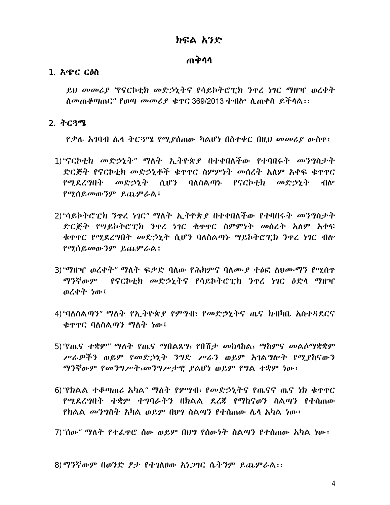### ክፍል አንድ

### ጠቅሳሳ

### 1. አጭር ርዕስ

ይህ መመሪያ "የናርኮቲክ መድኃኒትና የሳይኮትሮፒክ ንዋረ ነገር ማዘዣ ወረቀት ለመጠቆጣጠር" የወጣ መመሪያ ቁዋር 369/2013 ተብሎ ሲጠቀስ ይችላል፡፡

### 2. ትርጓሜ

<u>የቃሉ አገባብ ሌላ ትር3ሜ የሚደሰመው ካልሆነ በስተቀር በዚህ መመሪደ ውስዋ፤</u>

- 1) "ናርኮቲክ መድኃኒት" ማለት ኢትዮጵያ በተቀበለችው የተባበሩት መንግስታት ድርጅት የናርኮቲክ መድኃኒቶች ቁዋዋር ስምምነት መሰረት አለም አቀፍ ቁዋዋር የሚደረግበት መድኃኒት ሲሆን ባለስልጣኑ የናርኮቲክ መድኃኒት ብሎ የሚሰይመውንም ይጨምራል፤
- 2)"ሳይኮትሮፒክ ንዋረ ነገር" ማለት ኢትዮጵያ በተቀበለችው የተባበሩት መንግስታት ድርጅት የሣይኮትሮፒክ ንኖረ ነገር ቁዋኖር ስምምነት መሰረት አለም አቀፍ ቁዋዋር የሚደረግበት መድኃኒት ሲሆን ባለስልጣኑ ሣይኮትሮፒክ ንዋረ ነገር ብሎ የሚሰይመውንም ይጨምራል፤
- 3) "ማዘዣ ወረቀት" ማለት ፍቃድ ባለው የሕክምና ባለሙያ ተፅፎ ለሀሙማን የሚሰዋ ማንኛውም የናርኮቲክ መድኃኒትና የሳይኮትሮፒክ ንኖረ ነገር ዕድላ ማዘዣ ወረቀት ነው፤
- 4)"ባለስልጣን" ማለት የኢትዮጵያ የምግብ፣ የመድኃኒትና ጤና ክብካቤ አስተዳደርና ቁዋዋር ባለስልጣን ማለት ነው፤
- 5)"የጤና ተቋም" ማለት የጤና ማበልጸግ፣ የበሽታ *መ*ከላከል፣ ማከምና መልሶማቋቋም ሥራዎችን ወይም የመድኃኒት ንግድ ሥራን ወይም አገልግሎት የሚያከናውን ማንኛውም የመንግሥት፣መንግሥታዊ ያልሆነ ወይም የግል ተቋም ነው፤
- 6)"የክልል ተቆጣጠሪ አካል<sub>"</sub> ማለት የምግብ፣ የመድኃኒትና የጤናና ጤና ነክ ቁዋዋር የማደረግበት ተቋም ተግባራትን በክልል ደረጀ የማከናወን ስልጣን የተሰጠው *የክ*ልል *መንግ*ስት አካል ወይም በሀግ ስልጣን የተሰጠው ሌላ አካል ነው፤
- 7) "ሰው<sub>"</sub> ማለት የተፌዋሮ ሰው ወይም በሀግ የሰውነት ስልጣን የተሰጠው አካል ነው፤
- 8) ማንኛውም በወንድ ፆታ የተገለፀው እነጋገር ሴትንም ይጨምራል፡፡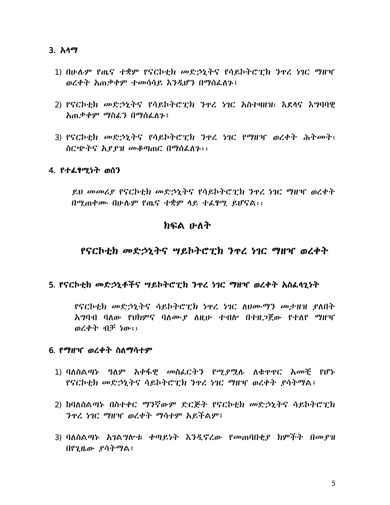### $3.$  አላማ

- 1) በሁሉም የጨና ተቋም የናርኮቲክ መድኃኒትና የሳይኮትሮፒክ ንዋረ ነገር ማዘዣ ወረቀት አጠቃቀም ተመሳሳይ እንዲሆን በማሰፌስጉ፤
- 2) የናርኮቲክ መድኃኒትና የሳይኮትሮፒክ ንኖረ ነገር አስተዛዘዝ፣ እደሳና እግባባዊ አጠቃቀም ማስፌን በማሰፌለጉ፤
- 3) የናርኮቲክ መድኃኒትና የሳይኮትሮፒክ ንዋረ ነገር የማዘዣ ወረቀት ሕትመት፣ ስርጭትና አያያዝ መቆጣጠር በማሰፌለን፡፡

### 4. የተፈፃሚነት ወሰን

ይህ መመሪያ የናርኮቲክ መድኃኒትና የሳይኮትሮፒክ ንዋረ ነገር ማዘዣ ወረቀት በሚጠቀሙ በሁሉም የጤና ተቋም ላይ ተፈፃሚ ይሆናል፡፡

### れいふ ルハナ

### የናርኮቲክ መድኃኒትና ሣይኮትሮፒክ ንዋረ ነገር ማዘዣ ወረቀት

### 5. የናርኮቲክ መድኃኒቶችና ሣይኮትሮፒክ ንኖረ ነገር ማዘዣ ወረቀት አስፈሳጊነት

የናርኮቲክ መድኃኒትና ሳይኮትሮፒክ ነዋረ ነገር ለሀሙማን መታዘዝ ያለበት አማባብ ባለው የሀክምና ባለሙያ ለዚሁ ተብሎ በተዘጋጀው የተለየ ማዘዣ ወረቀት ብቻ ነው፡፡

### 6. የማዘዣ ወረቀት ስለማሳተም

- 1) ባለስልጣኑ *ዓ*ለም አቀፋዊ መስፌርትን የሚደሚሉ ለቁዋዋር አመቺ የሆኑ የናርኮቲክ መድኃኒትና ሳይኮትሮፒክ ንዋረ ነገር ማዘዣ ወረቀት ያሳትማል፤
- 2) ከባለስልጣኑ በስተቀር ማንኛውም ድርጅት የናርኮቲክ መድኃኒትና ሳይኮትሮፒክ ንዯረ ነገር ማዘዣ ወረቀት ማሳተም አይችልም፤
- 3) ባለስልጣኑ አገልግሎቱ ቀጣይነት እንዲኖረው የመጠባበቂያ ክምችት በመያዝ በየጊዜው ያሳትማል፤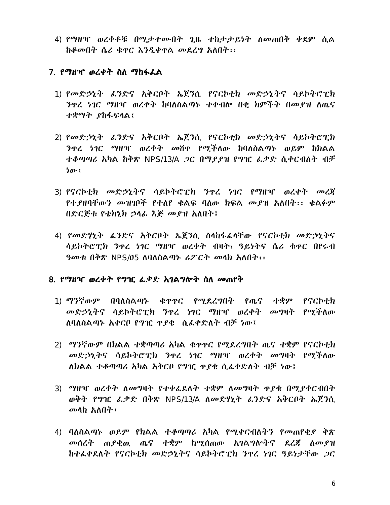4) የማዘዣ ወረቀቶቹ በሚታተሙበት ጊዜ ተከታታይነት ለመጠበቅ ቀደም ሲል ከቆመበት ሴሪ ቁዋር እንዲቀዋል መደረግ አለበት፡፡

### 7. የማዘዣ ወረቀት ስለ ማከፋፌል

- 1) የመድኃኒት ፌንድና አቅርቦት ኤጀንሲ የናርኮቲክ መድኃኒትና ሳይኮትሮፒክ ንዋረ ነገር ማዘዣ ወረቀት ከባለስልጣኑ ተቀብሎ በቂ ክምችት በመያዝ ለጤና ተቋማት ያከፋፍላል፤
- 2) የመድኃኒት ፈንድና አቅርቦት ኤጀንሲ የናርኮቲክ መድኃኒትና ሳይኮትሮፒክ ንዋረ ነገር ማዘዣ ወረቀት መሽዋ የሚችለው ከባለስልጣኑ ወይም ከክልል ተቆጣጣሪ አካል ከቅጽ NPS/13/A *ጋ*ር በማ*ያያዝ* የግዢ ፌቃድ ሲቀርብለት ብቻ ንው፤
- 3) የናርኮቲክ መድኃኒትና ሳይኮትሮፒክ ንዋረ ነገር የማዘዣ ወረቀት መረጃ *የተያዘባቸውን መዝገ*ቦች የተለየ ቁልፍ ባለው ክፍል *መያዝ* አለበት፡፡ ቁልፉም በድርጅቱ የቴክኒክ ኃላፊ እጅ መያዝ አለበት፤
- 4) የመድሃኒት ፈንድና አቅርቦት ኤጀንሲ ስላከፋፌላቸው የናርኮቲክ መድኃኒትና ሳይኮትሮፒክ ንዯረ ነገር ማዘዣ ወረቀት ብዛት፣ ዓይነትና ሴሪ ቁዋር በየሩብ  $9$ መቴ በቅጽ NPS/05 ለባለስልጣኑ ሪፖርት መሳክ አለበት፡፡

### 8. የማዘዣ ወረቀት የግዢ ፌቃድ አገልግሎት ስለ መጠየቅ

- 1) ማንኛውም በባለስልጣኑ ቁዋዋር የሚደረግበት የጨና ተቋም የናርኮቲክ መድኃኒትና ሳይኮትሮፒክ ንኖረ ነገር ማዘዣ ወረቀት መግዛት የሚችለው ለባለስልጣኑ አቀርቦ የግዢ ዋያቄ ሲፌቀድለት ብቻ ነው፤
- 2) ማንኛውም በክልል ተቋጣጣሪ አካል ቁዋዋር የሚደረግበት ጤና ተቋም የናርኮቲክ መድኃኒትና ሳይኮትሮፒክ ንዋረ ነገር ማዘዣ ወረቀት መግዛት የሚችለው ለክልል ተቆጣጣሪ አካል አቅርቦ የግዢ ዋያቄ ሲፌቀድለት ብቻ ነው፤
- 3) ማዘዣ ወረቀት ለመግዛት የተቀፌደለት ተቋም ለመግዛት ዋያቄ በሚያቀርብበት ወቅት የግፎ ፌቃድ በቅጽ NPS/13/A ለመድሃኒት ፌንድና አቅርቦት ኤጀንሲ መላከ አለበት፤
- 4) ባለስልጣኑ ወይም የክልል ተቆጣጣሪ አካል የሚቀርብለትን የመጠየቂያ ቅጽ *መ*ሰረት ጠ*ያቂዉ ጤና ተ*ቋም ከሚሰጠው አገልግሎትና ደረጀ ለ*መ*ያዝ ከተፈቀደለት የናርኮቲክ መድኃኒትና ሳይኮትሮፒክ ንዋረ ነገር ዓይነታቸው ጋር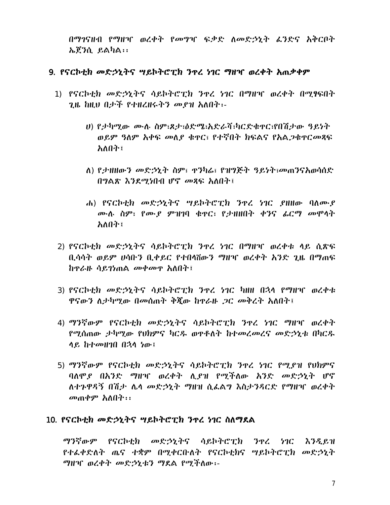በማገናዘብ የማዘዣ ወረቀት የመግዣ ፍቃድ ለመድኃኒት ፌንድና አቅርቦት ኤጀንሲ ይልካል።

### 9. የናርኮቲክ መድኃኒትና ሣይኮትሮፒክ ንኖረ ነገር ማዘዣ ወረቀት አጠቃቀም

- 1) የናርኮቲክ መድኃኒትና ሳይኮትሮፒክ ንኖረ ነገር በማዘዣ ወረቀት በሚፃፍበት  $2$ ዜ ከዚህ በታች የተዘረዘሩትን መያዝ አለበት፡-
	- ሀ) የታካሚው ሙሉ ስም፣ጸታ፣ዕድሜ፣አድራሻ፣ካርድቁዋር፣የበሽታው ዓይነት ወይም ዓለም አቀፍ መለያ ቁዋር፣ የተኛበት ክፍልና የአልጋቁዋርመጻፍ አለበት፣
	- ለ) የታዘዘውን መድኃኒት ስም፣ ዋንካሬ፣ የዝግጅት ዓይነት፣መጠንናእወሳሰድ በግልጽ እንደሚነበብ ሆኖ መጻፍ አለበት፤
	- ሐ) የናርኮቲክ መድኃኒትና ሣይኮትሮፒክ ንዋረ ነገር ያዘዘው ባለሙያ ሙሉ ስም፣ የሙያ ምዝገባ ቁዋር፣ የታዘዘበት ቀንና ፊርማ መሞሳት አለበት፤
- 2) የናርኮቲክ መድኃኒትና ሳይኮትሮፒክ ንኖረ ነገር በማዘዣ ወረቀቱ ላይ ሲጽፍ ቢሳሳት ወይም ሀሳቡን ቢቀይር የተበላሸውን ማዘዣ ወረቀት አንድ ጊዜ በማጠፍ ከዋራዙ ሳይገነጠል መቀመዋ አለበት፤
- 3) የናርኮቲክ *መድኃኒትና* ሳይኮትሮፒክ ንኖረ ነገር ካዘዘ በኋላ የማዘዣ ወረቀቱ ዋናውን ለታካሚው በመሰጠት ቅጇው ከዋራዙ *ጋ*ር መቅረት አለበት፤
- 4) ማንኛውም የናርኮቲክ መድኃኒትና ሳይኮትሮፒክ ንዋረ ነገር ማዘዣ ወረቀት የሚሰጠው ታካሚው የሀክምና ካርዱ ወዋቶለት ከተመረመረና መድኃኒቱ በካርዱ ላይ ከተመዘገበ በኋላ ነው፤
- 5) ማንኛውም የናርኮቲክ መድኃኒትና ሳይኮትሮፒክ ንዋረ ነገር የሚያዝ የሀክምና ባለሞያ በአንድ ማዘዣ ወረቀት ሊያዝ የሚችለው አንድ መድኃኒት ሆኖ ለተንዋዳኝ በሽታ ሌላ መድኃኒት ማዘዝ ሲፌልግ እስታንዳርድ የማዘዣ ወረቀት መጠቀም አለበት፡፡

### 10. የናርኮቲክ መድኃኒትና ሣይኮትሮፒክ ንዋረ ነገር ስለማደል

ማንኛውም የናርኮቲክ መድኃኒትና ሳይኮትሮፒክ ንዋረ *ነገር እንዲ*ይዝ የተፌቀድለት ጤና ተቋም በሚቀርቡለት የናርኮቲክና ሣይኮትሮፒክ መድኃኒት ማዘዣ ወረቀት መድኃኒቱን ማደል የሚችለው፡-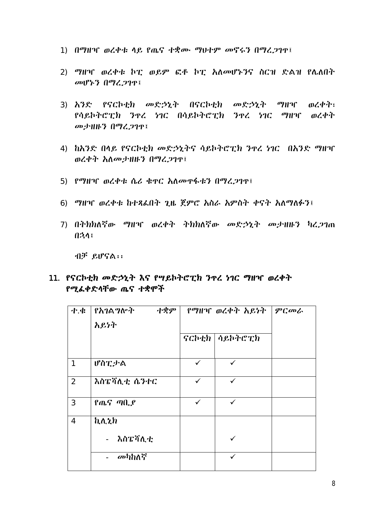- 1) በማዘዣ ወረቀቱ ላይ የጤና ተቋሙ ማሁተም መኖሩን በማረጋገዋ፤
- 2) ማዘዣ ወረቀቱ ኮፒ ወይም ፎቶ ኮፒ አለመሆኑንና ስርዝ ድልዝ የሌለበት መሆኑን በማረጋገዋ፤
- 3) አንድ የናርኮቲክ መድኃኒት በናርኮቲክ መድኃኒት ማዘዣ ወረቀት፣ የሳይኮትሮፒክ ንኖረ ነገር በሳይኮትሮፒክ ንኖረ ነገር ማዘዣ ወረቀት መታዘዙን በማረጋገዋ፤
- 4) ከአንድ በላይ የናርኮቲክ መድኃኒትና ሳይኮትሮፒክ ንዋረ ነገር በአንድ ማዘዣ ወረቀት አለመታዘዙን በማረጋገዋ፤
- 5) የማዘዣ ወረቀቱ ሴሪ ቁዋር አለመዋፋቱን በማረጋገዋ፤
- 6) ግዘዣ ወረቀቱ ከተጻፌበት ጊዜ ጀምሮ አስራ አምስት ቀናት አለማለፉን $\overline{\mathbf{r}}$
- 7) በትክክለኛው ማዘዣ ወረቀት ትክክለኛው መድኃኒት መታዘዙን ካረጋገጠ በኋላ፤

ብቻ ይሆናል፡፡

### 11. የናርኮቲክ መድኃኒት እና የሣይኮትሮፒክ ንዋሪ ነገር ማዘዣ ወረቀት የሚፈቀድላቸው ጨና ተቋሞች

| ተ.ቁ            | የአገልግሎት<br>ተቋም<br>አይነት | የማዘዣ ወረቀት አይነት | ምርመራ         |  |
|----------------|------------------------|----------------|--------------|--|
|                |                        | ናርኮቲክ          | ሳይኮትሮፒክ      |  |
| 1              | ぴስፒታል                  | $\checkmark$   | $\checkmark$ |  |
| $\overline{2}$ | እስፔሻሊቲ ሴንተር            | $\checkmark$   | ✓            |  |
| 3              | $90F$ $90F$            | $\checkmark$   | $\checkmark$ |  |
| $\overline{4}$ | ኪሊኒክ                   |                |              |  |
|                | እስፔሻሊቲ<br>$\Delta$     |                | ✓            |  |
|                | መካከለኛ                  |                | ✓            |  |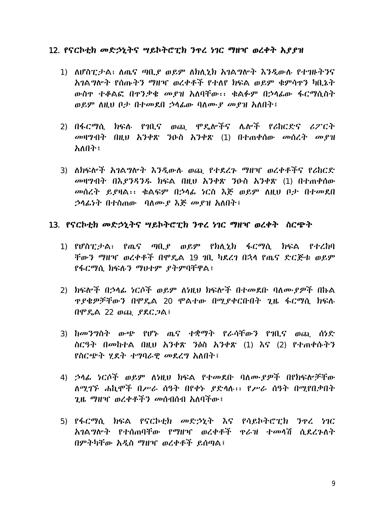### 12. የናርኮቲክ መድኃኒትና ሣይኮትሮፒክ ንዋረ ነገር ማዘዣ ወረቀት አያያዝ

- 1) ለሆስፒታል፣ ለጤና ጣቢያ ወይም ለክሊኒክ አባልግሎት እንዲውሉ የተባዙትንና አገልግሎት የሰጡትን ማዘዣ ወረቀቶች የተለየ ክፍል ወይም ቁምሳዋን ካቢኔት ውስዋ ተቆልፎ በዋንቃቄ መያዝ አለባቸው፡፡ ቁልፉም በኃላፌው ፋርማሲስት ወይም ለዚህ ቦታ በተመደበ ኃሳፌው ባለሙያ መያዝ አለበት፤
- 2) በፋርማሲ ክፍሉ የኀቢና ወጪ ሞዴሎችና ሌሎች የሪከርድና ሪፖርት መዛግብት በዚህ አንቀጽ ንዑስ አንቀጽ (1) በተጠቀሰው መሰረት መያዝ አለበት፤
- 3) ለክፍሎች አገልግሎት እንዲውሉ ወጪ የተደረጉ ማዘዣ ወረቀቶችና የሪከርድ *መ*ዛዎብት በእ*ያንዳንዱ ክ*ፍል በዚህ አንቀጽ ንዑስ አንቀጽ (1) በተጠቀሰው መሰረት ይያዛል፡፡ ቁልፍም በኃላፊ ነርስ እጅ ወይም ለዚህ ቦታ በተመደበ *ኃላፌነት* በተስጠው ባለሙ*ያ* እጅ መያዝ አለበት፤

### 13. የናርኮቲክ መድኃኒትና ሣይኮትሮፒክ ንኖረ ነገር ማዘዣ ወረቀት ሰርጭት

- 1) የሆስፒታል፣ የጤና ጣቢያ ወይም የክሊኒክ ፋርማሲ ክፍል የተረከባ ቸውን ማዘዣ ወረቀቶች በሞዴል 19 10. ካደረገ በኋላ የዉና ድርጅቱ ወይም የፋርማሲ ክፍሉን ማሁተም ያትምባቸዋል፤
- 2) ክፍሎች በኃላፊ ነርሶች ወይም ለነዚህ ክፍሎች በተመደቡ ባለሙያዎች በኩል ዋ*ያቄዎቻቸውን* በሞዴል 20 ሞልተው በሚያቀርቡበት ጊዜ ፋርማሲ ክፍሉ በሞዴል 22 ወጪ ያደርጋል፤
- 3) ከመንግስት ውጭ የሆኑ ጤና ተቋማት የራሳቸውን የገቢና ወጪ ሰነድ ስርዓት በመከተል በዚህ አንቀጽ ንዕስ አንቀጽ (1) እና (2) የተጠቀሱትን የስርጭት ሂደት ተግባራዊ መደረግ አለበት፤
- 4) ኃላፊ ነርሶች ወይም ለነዚህ ክፍል የተመደቡ ባለሙያዎች በየክፍሎቻቸው ለሚገኙ ሐኪሞች በሥራ ሰዓት በየቀኑ ደድላሉ፡፡ የሥራ ሰዓት በሚየበቃበት ጊዜ *ማ*ዘዣ ወረቀቶችን መሰብሰብ አለባችው፤
- 5) የፋርማሲ ክፍል የናርኮቲክ መድኃኒት እና የሳይኮትሮፒክ ንዋረ ነገር አገልግሎት የተሰጠባቸው የማዘዣ ወረቀቶች ዋራዝ ተመሳሽ ሲደረጉለት በምትካቸው አዲስ ማዘዣ ወረቀቶች ይሰጣል፤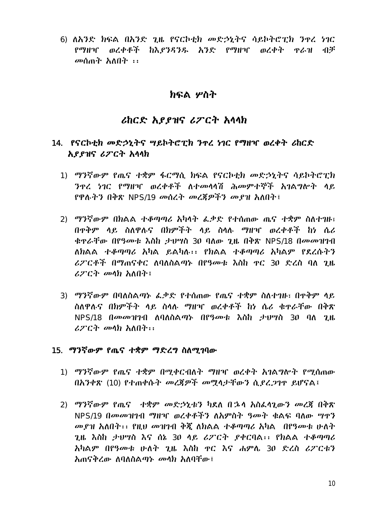6) ለአንድ ክፍል በአንድ ጊዜ የናርኮቲክ መድኃኒትና ሳይኮትሮፒክ ንዋረ ነገር የማዘዣ ወረቀቶች ከእያንዳንዱ አንድ የማዘዣ ወረቀት ዋራዝ イビチ መሰጠት አለበት ፡፡

### ክፍል ሦስት

## ሪከርድ እያያዝና ሪፖርት አሳሳክ

### 14. የናርኮቲክ መድኃኒትና ሣይኮትሮፒክ ንኖረ ነገር የማዘዣ ወረቀት ሪከርድ አያያዝና ሪፖርት አሳሳክ

- 1) ማንኛውም የጤና ተቋም ፋርማሲ ክፍል የናርኮቲክ መድኃኒትና ሳይኮትሮፒክ ንዋረ ነገር የማዘዣ ወረቀቶች ለተመሳሳሽ ሕመምተኞች አገልግሎት ላይ የዋሉትን በቅጽ NPS/19 መሰረት መረጀዎችን መያዝ አለበት፤
- 2) ማንኛውም በክልል ተቆጣጣሪ አካላት ፌቃድ የተሰጠው ጤና ተቋም ስለተገዙ፣ በዋቅም ላይ ስለዋሉና በክምችት ላይ ስላሉ ማዘዣ ወረቀቶች ከሃ ሴሪ ቁዋራቸው በየዓመቱ እስከ ታህሣስ 30 ባለው ጊዜ በቅጽ NPS/18 በመመዝገብ ለክልል ተቆጣጣሪ አካል ይልካሉ፡፡ የክልል ተቆጣጣሪ አካልም የደረሱትን ሪፖርቶች በማጠናቀር ለባለስልማኑ በየዓመቱ እስከ ዋር 30 ድረስ ባለ ጊዜ ሪፖርት መሳክ አለበት፤
- 3) ማንኛውም በባለስልጣኑ ፌቃድ የተሰጠው የዉና ተቋም ስለተባዙ፤ በዋቅም ላይ ስለዋሉና በክምችት ላይ ስላሉ ማዘዣ ወረቀቶች ከነ ሴሪ ቁዋራቸው በቅጽ NPS/18 በመመዝገብ ለባለስልጣኑ በየዓመቱ እስከ ታህሣስ 30 ባለ ጊዜ ሪፖርት መሳክ አለበት፡፡

### 15. ማንኛውም የጤና ተቋም ማድረግ ስለሚገባው

- 1) ማንኛውም የጤና ተቋም በሚቀርብለት ማዘዣ ወረቀት አገልግሎት የሚሰጠው በአንቀጽ (10) የተጠቀሱት መረጃዎች መሟላታቸውን ሲያረጋገዋ ይሆናል፤
- 2) ማንኛውም የጤና ተቋም መድኃኒቱን ካደለ በኋላ አስፈላጊውን መረጀ በቅጽ NPS/19 በመመዝንብ ማዘዣ ወረቀቶችን ለአምስት ዓመት ቁልፍ ባለው ሣዋን መያዝ አለበት፡፡ የዚህ መዝገብ ቅጇ ለክልል ተቆጣጣሪ አካል በየዓመቱ ሁለት ጊዜ እስከ ታህሣስ እና ሰኔ 30 ላይ ሪፖርት ያቀርባል፡፡ የክልል ተቆጣጣሪ አካልም በየዓመቱ ሁለት ጊዜ እስከ ዋር እና ሐምሌ 30 ድረስ ሪፖርቱን አጠናቅረው ለባለስልጣኑ መላክ አለባቸው፤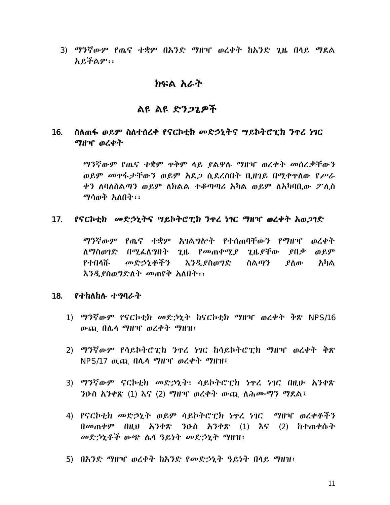3) ማንኛውም የዉና ተቋም በአንድ ማዘዣ ወረቀት ከአንድ ጊዜ በላይ ማደል አይችልም፡፡

### ክፍል አራት

### ልዩ ልዩ ድንጋጌዎች

#### ስለጠፋ ወይም ስለተሰረቀ የናርኮቲክ መድኃኒትና ሣይኮትሮፒክ ንኖረ ነገር  $16.$ ማዘዣ ወረቀት

ማንኛውም የጨና ተቋም ዋቅም ላይ ደልዋሉ ማዘዣ ወረቀት መሰረቃቸውን ወይም መዋፋታቸውን ወይም አደጋ ሲደረስበት ቢዘገይ በሚቀዋለው የሥራ ቀን ለባለስልጣን ወይም ለክልል ተቆጣጣሪ አካል ወይም ለአካባቢው ፖሊስ ማሳወቅ አለበት፡፡

### 17. የናርኮቲክ መድኃኒትና ሣይኮትሮፒክ ንዋረ ነገር ማዘዣ ወረቀት አወጋገድ

ማንኛውም የጨና ተቋም አገልግሎት የተሰጠባቸውን የማዘዣ ወረቀት ለማስወገድ በሚፌለግበት ጊዜ የመጠቀሚያ ጊዜያቸው ያበቃ ወይም የተበሳሹ መድኃኒቶችን እንዲያስወግድ ስልጣን ያለው አካል *እንዲያስወግድለት መ*ጠየቅ አለበት፡፡

### 18. የ**ተከለከሉ** ተማባራት

- 1) ማንኛውም የናርኮቲክ መድኃኒት ከናርኮቲክ ማዘዣ ወረቀት ቅጽ NPS/16 ውጨ በሌላ ማዘዣ ወረቀት ማዘዝ፤
- 2) ማንኛውም የሳይኮትሮፒክ ንኖረ ነገር ከሳይኮትሮፒክ ማዘዣ ወረቀት ቅጽ NPS/17 *a.G*a. በሌላ ማዘዣ ወረቀት ማዘዝ፤
- 3) ማንኛውም ናርኮቲክ መድኃኒት፣ ሳይኮትሮፒክ ነዋረ ነገር በዚሁ አንቀጽ ንዑስ አንቀጽ (1) እና (2) ማዘዣ ወረቀት ውጪ ለሕሙማን ማደል፤
- 4) የናርኮቲክ መድኃኒት ወይም ሳይኮትሮፒክ ነዋረ ነገር "ግዘዣ ወረቀቶችን  $\theta$ መጠቀም በዚህ አንቀጽ ንዑስ አንቀጽ (1) እና (2) ከተጠቀሱት መድኃኒቶች ውጭ ሌላ ዓይነት መድኃኒት ማዘዝ፤
- 5) በአንድ ማዘዣ ወረቀት ከአንድ የመድኃኒት ዓይነት በላይ ማዘዝ፤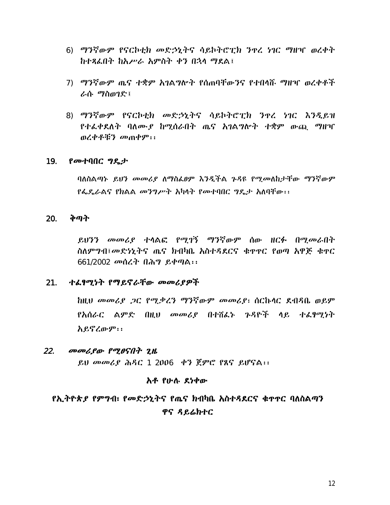- 6) ማንኛውም የናርኮቲክ መድኃኒትና ሳይኮትሮፒክ ንዋረ ነገር ማዘዣ ወረቀት ከተጻፌበት ከአሥራ አምስት ቀን በኋላ ማደል፤
- 7) ማንኛውም ጤና ተቋም አገልግሎት የሰጠባቸውንና የተበላሹ ማዘዣ ወረቀቶች ራሱ ማስወገድ፤
- 8) ማንኛውም የናርኮቲክ መድኃኒትና ሳይኮትሮፒክ ንኖረ ነገር እንዲይዝ የተፌቀደለት ባለሙያ ከሚሰራበት ጤና አገልግሎት ተቋም ውጪ ማዘዣ ወረቀቶቹን መጠቀም፡፡

#### 19. የመተባበር *ግ*ዴታ

ባለስልጣኑ ይህን መመሪያ ለማስፌፀም እንዲችል ጉዳዩ የሚመለከታቸው ማንኛውም *የፌ*ዴራልና *የክ*ልል መንግሥት አካላት የመተባበር ግዴታ አለባቸው፡፡

#### 20. ቅጣት

ይሆንን መመሪያ ተሳልፎ የሚገኝ ማንኛውም ሰው ዘርፉ በሚመራበት ስለምግብ፤መድነኒትና ጤና ክብካቤ አስተዳደርና ቁጥጥር የወጣ አዋጅ ቁጥር 661/2002 መሰረት በሕግ ይቀጣል፡፡

#### 21. ተፈፃሚነት የማይኖራቸው መመሪያዎች

ከዚህ መመሪያ ጋር የሚቃረን ማንኛውም መመሪያ፣ ሰርኩላር ደብዳቤ ወይም <u>የአሰራር ልምድ በዚህ መመሪያ በተሸፌኑ ጉዳዮች ላይ ተፈፃሚነት</u> አይኖረውም፡፡

#### $22.$ መመሪያው የሚፀናበት ጊዜ

 $f$ ይህ መመሪያ ሕዳር 1 2006 ቀን ጀምሮ የጸና ይሆናል፡፡

### አቶ የሁሉ ደነቀው

## የኢትዮጵያ የምግብ፣ የመድኃኒትና የጨና ክብካቤ አስተዳደርና ቁዋዋር ባለስልጣን ዋና ዳይሬክተር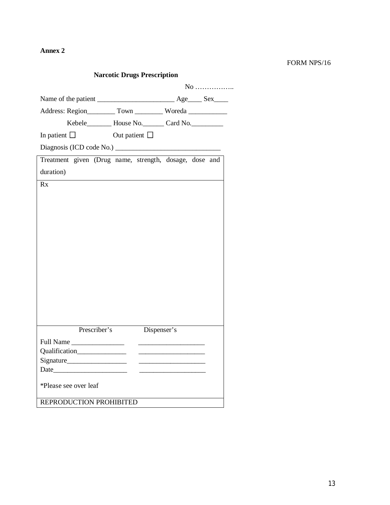#### FORM NPS/16

|                                                               |                    | <b>Narcotic Drugs Prescription</b> |  |    |
|---------------------------------------------------------------|--------------------|------------------------------------|--|----|
|                                                               |                    |                                    |  | No |
|                                                               |                    |                                    |  |    |
| Address: Region__________ Town ___________ Woreda ___________ |                    |                                    |  |    |
| Kebele_________ House No.________ Card No.__________          |                    |                                    |  |    |
| In patient $\Box$                                             | Out patient $\Box$ |                                    |  |    |
|                                                               |                    |                                    |  |    |
| Treatment given (Drug name, strength, dosage, dose and        |                    |                                    |  |    |
| duration)                                                     |                    |                                    |  |    |
| Rx                                                            |                    |                                    |  |    |
|                                                               |                    |                                    |  |    |
|                                                               |                    |                                    |  |    |
|                                                               |                    |                                    |  |    |
|                                                               |                    |                                    |  |    |
|                                                               |                    |                                    |  |    |
|                                                               |                    |                                    |  |    |
|                                                               |                    |                                    |  |    |
|                                                               |                    |                                    |  |    |
|                                                               |                    |                                    |  |    |
|                                                               |                    |                                    |  |    |
|                                                               |                    |                                    |  |    |
|                                                               |                    |                                    |  |    |
|                                                               |                    |                                    |  |    |
| Prescriber's                                                  |                    | Dispenser's                        |  |    |
| Full Name                                                     |                    |                                    |  |    |
|                                                               |                    |                                    |  |    |
|                                                               |                    |                                    |  |    |
| Date                                                          |                    |                                    |  |    |
| *Please see over leaf                                         |                    |                                    |  |    |
| REPRODUCTION PROHIBITED                                       |                    |                                    |  |    |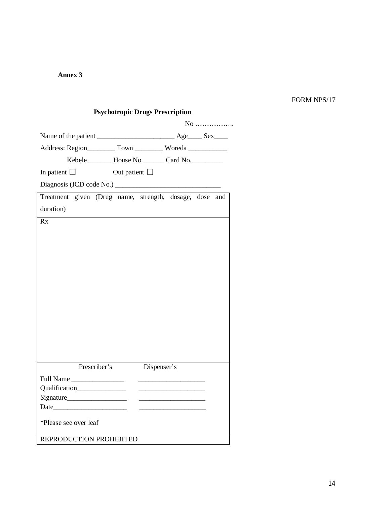### FORM NPS/17

|                                                                     | <b>Psychotropic Drugs Prescription</b>               |
|---------------------------------------------------------------------|------------------------------------------------------|
|                                                                     | No                                                   |
|                                                                     |                                                      |
| Address: Region __________ Town ____________ Woreda _______________ |                                                      |
|                                                                     | Kebele_________ House No.________ Card No.__________ |
| In patient $\Box$<br>Out patient $\Box$                             |                                                      |
|                                                                     |                                                      |
| Treatment given (Drug name, strength, dosage, dose and              |                                                      |
| duration)                                                           |                                                      |
| Rx                                                                  |                                                      |
|                                                                     |                                                      |
|                                                                     |                                                      |
|                                                                     |                                                      |
|                                                                     |                                                      |
|                                                                     |                                                      |
|                                                                     |                                                      |
|                                                                     |                                                      |
|                                                                     |                                                      |
|                                                                     |                                                      |
|                                                                     |                                                      |
|                                                                     |                                                      |
|                                                                     |                                                      |
| Prescriber's                                                        | Dispenser's                                          |
|                                                                     |                                                      |
| Full Name<br>Qualification                                          |                                                      |
|                                                                     |                                                      |
| Date                                                                |                                                      |
| *Please see over leaf                                               |                                                      |
| REPRODUCTION PROHIBITED                                             |                                                      |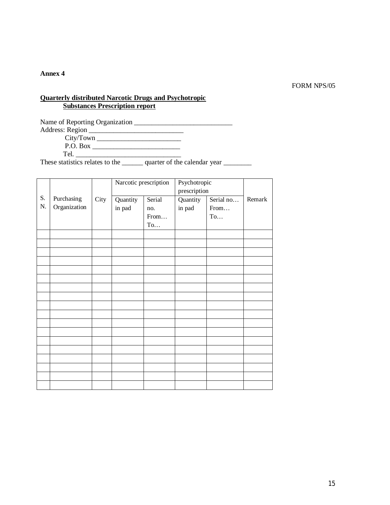#### FORM NPS/05

#### **Quarterly distributed Narcotic Drugs and Psychotropic Substances Prescription report**

Name of Reporting Organization \_\_\_\_\_\_\_\_\_\_\_\_\_\_\_\_\_\_\_\_\_\_\_\_\_\_\_\_

Address: Region \_\_\_\_\_\_\_\_\_\_\_\_\_\_\_\_\_\_\_\_\_\_\_\_\_\_\_

City/Town \_\_\_\_\_\_\_\_\_\_\_\_\_\_\_\_\_\_\_\_\_\_\_\_

P.O. Box \_\_\_\_\_\_\_\_\_\_\_\_\_\_\_\_\_\_\_\_\_\_\_\_\_

Tel. \_\_\_\_\_\_\_\_\_\_\_\_\_\_\_\_\_\_\_\_\_\_\_\_\_\_\_\_\_\_

These statistics relates to the \_\_\_\_\_\_\_ quarter of the calendar year \_\_\_\_\_\_\_\_\_\_\_

|                  |              |      | Narcotic prescription |                     | Psychotropic<br>prescription |           |        |
|------------------|--------------|------|-----------------------|---------------------|------------------------------|-----------|--------|
| S.<br>${\bf N}.$ | Purchasing   | City | Quantity              | Serial              | Quantity                     | Serial no | Remark |
|                  | Organization |      | in pad                | no.                 | in pad                       | From      |        |
|                  |              |      |                       | From                |                              | To        |        |
|                  |              |      |                       | $\mathrm{To} \dots$ |                              |           |        |
|                  |              |      |                       |                     |                              |           |        |
|                  |              |      |                       |                     |                              |           |        |
|                  |              |      |                       |                     |                              |           |        |
|                  |              |      |                       |                     |                              |           |        |
|                  |              |      |                       |                     |                              |           |        |
|                  |              |      |                       |                     |                              |           |        |
|                  |              |      |                       |                     |                              |           |        |
|                  |              |      |                       |                     |                              |           |        |
|                  |              |      |                       |                     |                              |           |        |
|                  |              |      |                       |                     |                              |           |        |
|                  |              |      |                       |                     |                              |           |        |
|                  |              |      |                       |                     |                              |           |        |
|                  |              |      |                       |                     |                              |           |        |
|                  |              |      |                       |                     |                              |           |        |
|                  |              |      |                       |                     |                              |           |        |
|                  |              |      |                       |                     |                              |           |        |
|                  |              |      |                       |                     |                              |           |        |
|                  |              |      |                       |                     |                              |           |        |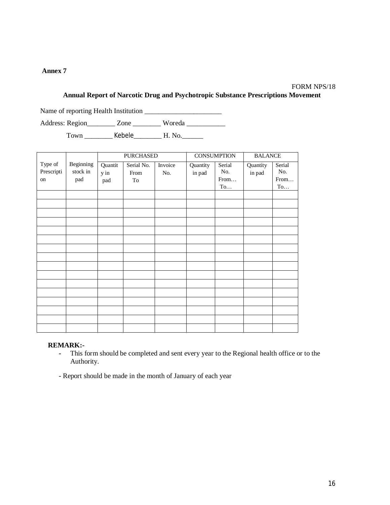### FORM NPS/18 **Annual Report of Narcotic Drug and Psychotropic Substance Prescriptions Movement**

Name of reporting Health Institution \_\_\_\_\_\_\_\_\_\_\_\_\_\_\_\_\_\_\_\_\_\_

Address: Region\_\_\_\_\_\_\_\_ Zone \_\_\_\_\_\_\_\_ Woreda \_\_\_\_\_\_\_\_\_\_

Town \_\_\_\_\_\_\_\_\_\_ Kebele\_\_\_\_\_\_\_\_\_ H. No.\_\_\_\_\_\_\_

|                             |                              |                        | <b>PURCHASED</b>         |                |                    | <b>CONSUMPTION</b>          | <b>BALANCE</b>     |                                              |
|-----------------------------|------------------------------|------------------------|--------------------------|----------------|--------------------|-----------------------------|--------------------|----------------------------------------------|
| Type of<br>Prescripti<br>on | Beginning<br>stock in<br>pad | Quantit<br>y in<br>pad | Serial No.<br>From<br>To | Invoice<br>No. | Quantity<br>in pad | Serial<br>No.<br>From<br>To | Quantity<br>in pad | Serial<br>No.<br>From<br>$\mathrm{To} \dots$ |
|                             |                              |                        |                          |                |                    |                             |                    |                                              |
|                             |                              |                        |                          |                |                    |                             |                    |                                              |
|                             |                              |                        |                          |                |                    |                             |                    |                                              |
|                             |                              |                        |                          |                |                    |                             |                    |                                              |
|                             |                              |                        |                          |                |                    |                             |                    |                                              |
|                             |                              |                        |                          |                |                    |                             |                    |                                              |
|                             |                              |                        |                          |                |                    |                             |                    |                                              |
|                             |                              |                        |                          |                |                    |                             |                    |                                              |
|                             |                              |                        |                          |                |                    |                             |                    |                                              |
|                             |                              |                        |                          |                |                    |                             |                    |                                              |
|                             |                              |                        |                          |                |                    |                             |                    |                                              |
|                             |                              |                        |                          |                |                    |                             |                    |                                              |
|                             |                              |                        |                          |                |                    |                             |                    |                                              |
|                             |                              |                        |                          |                |                    |                             |                    |                                              |
|                             |                              |                        |                          |                |                    |                             |                    |                                              |

#### **REMARK:-**

**-** This form should be completed and sent every year to the Regional health office or to the Authority.

- Report should be made in the month of January of each year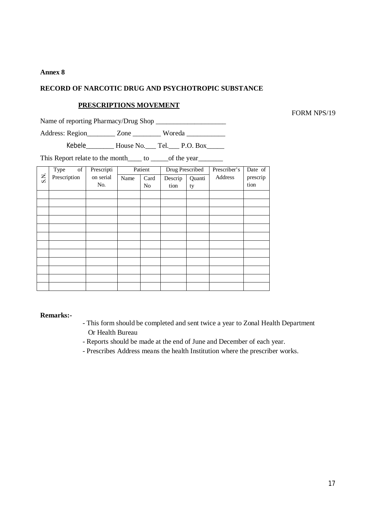#### **RECORD OF NARCOTIC DRUG AND PSYCHOTROPIC SUBSTANCE**

#### **PRESCRIPTIONS MOVEMENT**

FORM NPS/19

Name of reporting Pharmacy/Drug Shop \_\_\_\_\_\_\_\_\_\_\_\_\_\_\_\_\_\_\_\_

Address: Region\_\_\_\_\_\_\_\_\_ Zone \_\_\_\_\_\_\_\_\_ Woreda \_\_\_\_\_\_\_\_\_\_\_\_\_

Kebele\_\_\_\_\_\_\_\_ House No.\_\_\_ Tel.\_\_\_ P.O. Box\_\_\_\_\_

This Report relate to the month\_\_\_\_ to \_\_\_\_\_of the year\_\_\_\_\_\_\_

|      | Type         | of | Prescripti |      | Patient | Drug Prescribed |        | Prescriber's | Date of  |
|------|--------------|----|------------|------|---------|-----------------|--------|--------------|----------|
| S.N. | Prescription |    | on serial  | Name | Card    | Descrip         | Quanti | Address      | prescrip |
|      |              |    | No.        |      | No      | tion            | ty     |              | tion     |
|      |              |    |            |      |         |                 |        |              |          |
|      |              |    |            |      |         |                 |        |              |          |
|      |              |    |            |      |         |                 |        |              |          |
|      |              |    |            |      |         |                 |        |              |          |
|      |              |    |            |      |         |                 |        |              |          |
|      |              |    |            |      |         |                 |        |              |          |
|      |              |    |            |      |         |                 |        |              |          |
|      |              |    |            |      |         |                 |        |              |          |
|      |              |    |            |      |         |                 |        |              |          |
|      |              |    |            |      |         |                 |        |              |          |
|      |              |    |            |      |         |                 |        |              |          |
|      |              |    |            |      |         |                 |        |              |          |

**Remarks:-**

- This form should be completed and sent twice a year to Zonal Health Department Or Health Bureau
- Reports should be made at the end of June and December of each year.
- Prescribes Address means the health Institution where the prescriber works.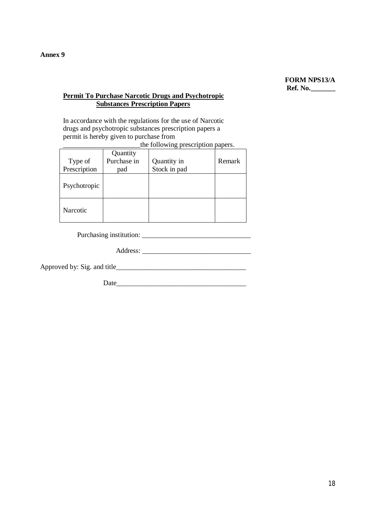#### **Permit To Purchase Narcotic Drugs and Psychotropic Substances Prescription Papers**

In accordance with the regulations for the use of Narcotic drugs and psychotropic substances prescription papers a permit is hereby given to purchase from the following prescription papers.

|                         |                                | o r                         |        |
|-------------------------|--------------------------------|-----------------------------|--------|
| Type of<br>Prescription | Quantity<br>Purchase in<br>pad | Quantity in<br>Stock in pad | Remark |
| Psychotropic            |                                |                             |        |
| Narcotic                |                                |                             |        |

| Purchasing institution: |  |
|-------------------------|--|
|                         |  |

Address: \_\_\_\_\_\_\_\_\_\_\_\_\_\_\_\_\_\_\_\_\_\_\_\_\_\_\_\_\_\_\_

Approved by: Sig. and title\_\_\_\_\_\_\_\_\_\_\_\_\_\_\_\_\_\_\_\_\_\_\_\_\_\_\_\_\_\_\_\_\_\_\_\_\_

Date\_\_\_\_\_\_\_\_\_\_\_\_\_\_\_\_\_\_\_\_\_\_\_\_\_\_\_\_\_\_\_\_\_\_\_\_\_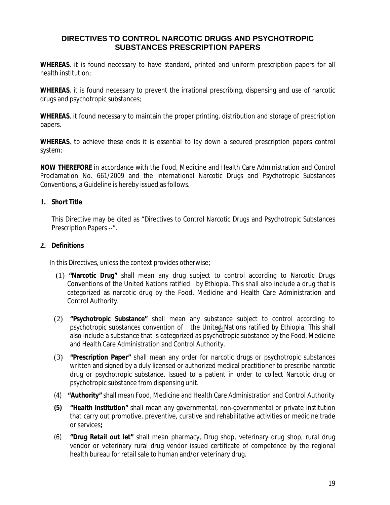### **DIRECTIVES TO CONTROL NARCOTIC DRUGS AND PSYCHOTROPIC SUBSTANCES PRESCRIPTION PAPERS**

**WHEREAS**, it is found necessary to have standard, printed and uniform prescription papers for all health institution;

**WHEREAS**, it is found necessary to prevent the irrational prescribing, dispensing and use of narcotic drugs and psychotropic substances;

**WHEREAS**, it found necessary to maintain the proper printing, distribution and storage of prescription papers.

**WHEREAS**, to achieve these ends it is essential to lay down a secured prescription papers control system;

**NOW THEREFORE** in accordance with the Food, Medicine and Health Care Administration and Control Proclamation No. 661/2009 and the International Narcotic Drugs and Psychotropic Substances Conventions, a Guideline is hereby issued as follows.

#### **1. Short Title**

This Directive may be cited as "Directives to Control Narcotic Drugs and Psychotropic Substances Prescription Papers --".

#### **2. Definitions**

In this Directives, unless the context provides otherwise;

- (1) **"Narcotic Drug"** shall mean any drug subject to control according to Narcotic Drugs Conventions of the United Nations ratified by Ethiopia. This shall also include a drug that is categorized as narcotic drug by the Food, Medicine and Health Care Administration and Control Authority.
- psychotropic substances convention of the United-Nations ratified by Ethiopia. This shall (2) **"Psychotropic Substance"** shall mean any substance subject to control according to also include a substance that is categorized as psychotropic substance by the Food, Medicine and Health Care Administration and Control Authority.
- (3) **"Prescription Paper"** shall mean any order for narcotic drugs or psychotropic substances written and signed by a duly licensed or authorized medical practitioner to prescribe narcotic drug or psychotropic substance. Issued to a patient in order to collect Narcotic drug or psychotropic substance from dispensing unit.
- (4) **"Authority"** shall mean Food, Medicine and Health Care Administration and Control Authority
- **(5) "Health Institution"** shall mean any governmental, non-governmental or private institution that carry out promotive, preventive, curative and rehabilitative activities or medicine trade or services**;**
- (6) **"Drug Retail out let"** shall mean pharmacy, Drug shop, veterinary drug shop, rural drug vendor or veterinary rural drug vendor issued certificate of competence by the regional health bureau for retail sale to human and/or veterinary drug.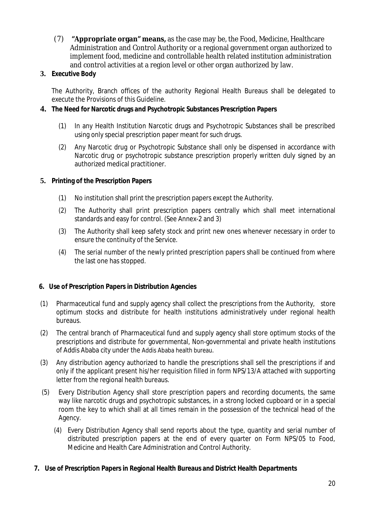- (7) **"Appropriate organ" means,** as the case may be, the Food, Medicine, Healthcare Administration and Control Authority or a regional government organ authorized to implement food, medicine and controllable health related institution administration and control activities at a region level or other organ authorized by law.
- **3. Executive Body**

The Authority, Branch offices of the authority Regional Health Bureaus shall be delegated to execute the Provisions of this Guideline.

- **4. The Need for Narcotic drugs and Psychotropic Substances Prescription Papers**
	- (1) In any Health Institution Narcotic drugs and Psychotropic Substances shall be prescribed using only special prescription paper meant for such drugs.
	- (2) Any Narcotic drug or Psychotropic Substance shall only be dispensed in accordance with Narcotic drug or psychotropic substance prescription properly written duly signed by an authorized medical practitioner.
- **5. Printing of the Prescription Papers**
	- (1) No institution shall print the prescription papers except the Authority.
	- (2) The Authority shall print prescription papers centrally which shall meet international standards and easy for control. (See Annex-2 and 3)
	- (3) The Authority shall keep safety stock and print new ones whenever necessary in order to ensure the continuity of the Service.
	- (4) The serial number of the newly printed prescription papers shall be continued from where the last one has stopped.
- **6. Use of Prescription Papers in Distribution Agencies**
- (1) Pharmaceutical fund and supply agency shall collect the prescriptions from the Authority, store optimum stocks and distribute for health institutions administratively under regional health bureaus.
- (2) The central branch of Pharmaceutical fund and supply agency shall store optimum stocks of the prescriptions and distribute for governmental, Non-governmental and private health institutions of Addis Ababa city under the Addis Ababa health bureau.
- (3) Any distribution agency authorized to handle the prescriptions shall sell the prescriptions if and only if the applicant present his/her requisition filled in form NPS/13/A attached with supporting letter from the regional health bureaus.
- (5) Every Distribution Agency shall store prescription papers and recording documents, the same way like narcotic drugs and psychotropic substances, in a strong locked cupboard or in a special room the key to which shall at all times remain in the possession of the technical head of the Agency.
	- (4) Every Distribution Agency shall send reports about the type, quantity and serial number of distributed prescription papers at the end of every quarter on Form NPS/05 to Food, Medicine and Health Care Administration and Control Authority.
- **7. Use of Prescription Papers in Regional Health Bureaus and District Health Departments**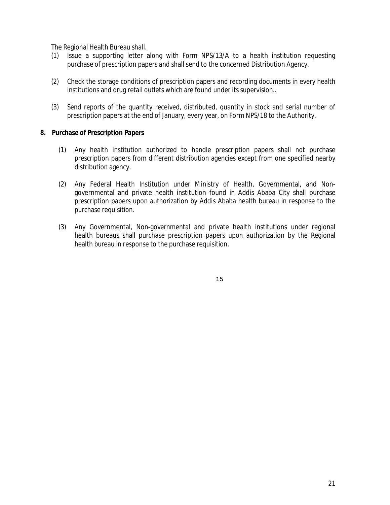The Regional Health Bureau shall.

- (1) Issue a supporting letter along with Form NPS/13/A to a health institution requesting purchase of prescription papers and shall send to the concerned Distribution Agency.
- (2) Check the storage conditions of prescription papers and recording documents in every health institutions and drug retail outlets which are found under its supervision..
- (3) Send reports of the quantity received, distributed, quantity in stock and serial number of prescription papers at the end of January, every year, on Form NPS/18 to the Authority.
- **8. Purchase of Prescription Papers**
	- (1) Any health institution authorized to handle prescription papers shall not purchase prescription papers from different distribution agencies except from one specified nearby distribution agency.
	- (2) Any Federal Health Institution under Ministry of Health, Governmental, and Nongovernmental and private health institution found in Addis Ababa City shall purchase prescription papers upon authorization by Addis Ababa health bureau in response to the purchase requisition.
	- (3) Any Governmental, Non-governmental and private health institutions under regional health bureaus shall purchase prescription papers upon authorization by the Regional health bureau in response to the purchase requisition.

15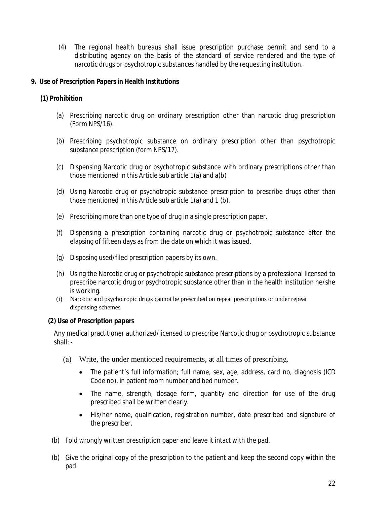- (4) The regional health bureaus shall issue prescription purchase permit and send to a distributing agency on the basis of the standard of service rendered and the type of narcotic drugs or psychotropic substances handled by the requesting institution.
- **9. Use of Prescription Papers in Health Institutions**
	- **(1) Prohibition**
		- (a) Prescribing narcotic drug on ordinary prescription other than narcotic drug prescription (Form NPS/16).
		- (b) Prescribing psychotropic substance on ordinary prescription other than psychotropic substance prescription (form NPS/17).
		- (c) Dispensing Narcotic drug or psychotropic substance with ordinary prescriptions other than those mentioned in this Article sub article 1(a) and a(b)
		- (d) Using Narcotic drug or psychotropic substance prescription to prescribe drugs other than those mentioned in this Article sub article 1(a) and 1 (b).
		- (e) Prescribing more than one type of drug in a single prescription paper.
		- (f) Dispensing a prescription containing narcotic drug or psychotropic substance after the elapsing of fifteen days as from the date on which it was issued.
		- (g) Disposing used/filed prescription papers by its own.
		- (h) Using the Narcotic drug or psychotropic substance prescriptions by a professional licensed to prescribe narcotic drug or psychotropic substance other than in the health institution he/she is working.
		- (i) Narcotic and psychotropic drugs cannot be prescribed on repeat prescriptions or under repeat dispensing schemes

#### **(2) Use of Prescription papers**

Any medical practitioner authorized/licensed to prescribe Narcotic drug or psychotropic substance shall: -

- (a) Write, the under mentioned requirements, at all times of prescribing.
	- The patient's full information; full name, sex, age, address, card no, diagnosis (ICD Code no), in patient room number and bed number.
	- The name, strength, dosage form, quantity and direction for use of the drug prescribed shall be written clearly.
	- His/her name, qualification, registration number, date prescribed and signature of the prescriber.
- (b) Fold wrongly written prescription paper and leave it intact with the pad.
- (b) Give the original copy of the prescription to the patient and keep the second copy within the pad.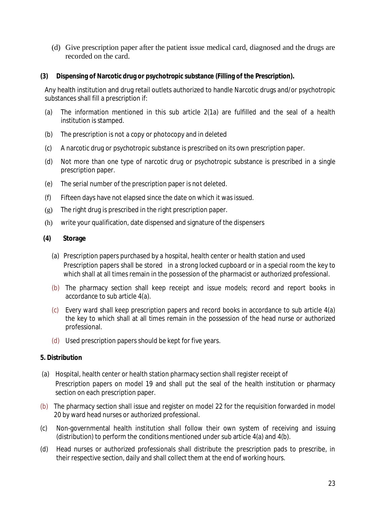- (d) Give prescription paper after the patient issue medical card, diagnosed and the drugs are recorded on the card.
- **(3) Dispensing of Narcotic drug or psychotropic substance (Filling of the Prescription).**

Any health institution and drug retail outlets authorized to handle Narcotic drugs and/or psychotropic substances shall fill a prescription if:

- (a) The information mentioned in this sub article 2(1a) are fulfilled and the seal of a health institution is stamped.
- (b) The prescription is not a copy or photocopy and in deleted
- (c) A narcotic drug or psychotropic substance is prescribed on its own prescription paper.
- (d) Not more than one type of narcotic drug or psychotropic substance is prescribed in a single prescription paper.
- (e) The serial number of the prescription paper is not deleted.
- (f) Fifteen days have not elapsed since the date on which it was issued.
- (g) The right drug is prescribed in the right prescription paper.
- (h) write your qualification, date dispensed and signature of the dispensers
- **(4) Storage**
	- (a) Prescription papers purchased by a hospital, health center or health station and used Prescription papers shall be stored in a strong locked cupboard or in a special room the key to which shall at all times remain in the possession of the pharmacist or authorized professional.
	- (b) The pharmacy section shall keep receipt and issue models; record and report books in accordance to sub article 4(a).
	- (c) Every ward shall keep prescription papers and record books in accordance to sub article 4(a) the key to which shall at all times remain in the possession of the head nurse or authorized professional.
	- (d) Used prescription papers should be kept for five years.

### **5. Distribution**

- (a) Hospital, health center or health station pharmacy section shall register receipt of Prescription papers on model 19 and shall put the seal of the health institution or pharmacy section on each prescription paper.
- (b) The pharmacy section shall issue and register on model 22 for the requisition forwarded in model 20 by ward head nurses or authorized professional.
- (c) Non-governmental health institution shall follow their own system of receiving and issuing (distribution) to perform the conditions mentioned under sub article 4(a) and 4(b).
- (d) Head nurses or authorized professionals shall distribute the prescription pads to prescribe, in their respective section, daily and shall collect them at the end of working hours.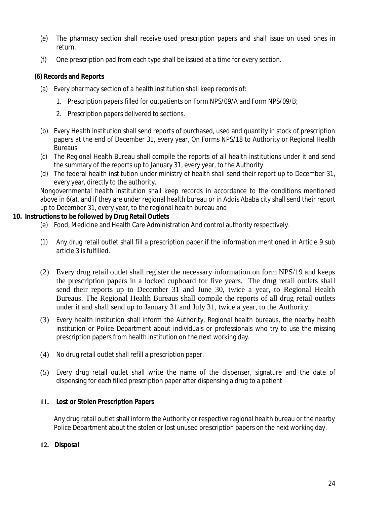- (e) The pharmacy section shall receive used prescription papers and shall issue on used ones in return.
- (f) One prescription pad from each type shall be issued at a time for every section.

### **(6) Records and Reports**

- (a) Every pharmacy section of a health institution shall keep records of:
	- 1. Prescription papers filled for outpatients on Form NPS/09/A and Form NPS/09/B;
	- 2. Prescription papers delivered to sections.
- (b) Every Health Institution shall send reports of purchased, used and quantity in stock of prescription papers at the end of December 31, every year, On Forms NPS/18 to Authority or Regional Health Bureaus.
- (c) The Regional Health Bureau shall compile the reports of all health institutions under it and send the summary of the reports up to January 31, every year, to the Authority.
- (d) The federal health institution under ministry of health shall send their report up to December 31, every year, directly to the authority.

Nongovernmental health institution shall keep records in accordance to the conditions mentioned above in 6(a), and if they are under regional health bureau or in Addis Ababa city shall send their report up to December 31, every year, to the regional health bureau and

**10. Instructions to be followed by Drug Retail Outlets**

- (e) Food, Medicine and Health Care Administration And control authority respectively.
- (1) Any drug retail outlet shall fill a prescription paper if the information mentioned in Article 9 sub article 3 is fulfilled.
- (2) Every drug retail outlet shall register the necessary information on form NPS/19 and keeps the prescription papers in a locked cupboard for five years. The drug retail outlets shall send their reports up to December 31 and June 30, twice a year, to Regional Health Bureaus. The Regional Health Bureaus shall compile the reports of all drug retail outlets under it and shall send up to January 31 and July 31, twice a year, to the Authority.
- (3) Every health institution shall inform the Authority, Regional health bureaus, the nearby health institution or Police Department about individuals or professionals who try to use the missing prescription papers from health institution on the next working day.
- (4) No drug retail outlet shall refill a prescription paper.
- (5) Every drug retail outlet shall write the name of the dispenser, signature and the date of dispensing for each filled prescription paper after dispensing a drug to a patient
- **11. Lost or Stolen Prescription Papers**

Any drug retail outlet shall inform the Authority or respective regional health bureau or the nearby Police Department about the stolen or lost unused prescription papers on the next working day.

**12. Disposal**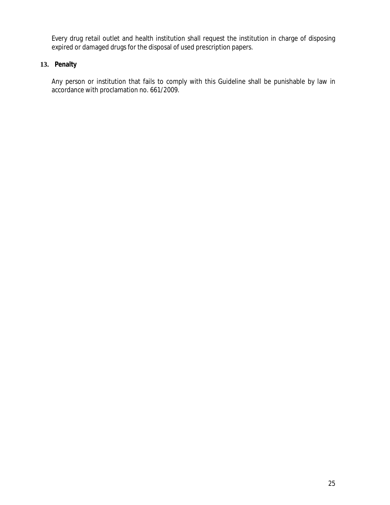Every drug retail outlet and health institution shall request the institution in charge of disposing expired or damaged drugs for the disposal of used prescription papers.

### **13. Penalty**

Any person or institution that fails to comply with this Guideline shall be punishable by law in accordance with proclamation no. 661/2009.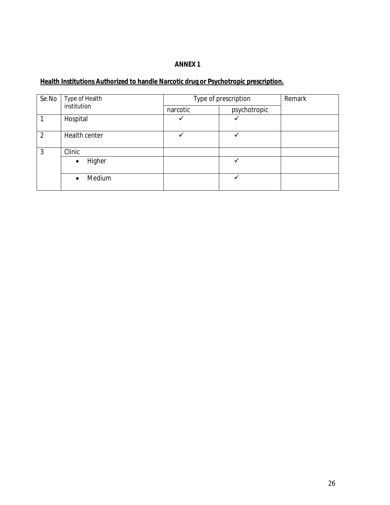### **ANNEX 1**

### **Health Institutions Authorized to handle Narcotic drug or Psychotropic prescription.**

| Se.No | Type of Health      |          | Type of prescription | Remark |
|-------|---------------------|----------|----------------------|--------|
|       | institution         | narcotic | psychotropic         |        |
|       | Hospital            | ✓        | ✓                    |        |
| 2     | Health center       | ✓        |                      |        |
| 3     | Clinic              |          |                      |        |
|       | Higher<br>$\bullet$ |          | $\checkmark$         |        |
|       | Medium              |          |                      |        |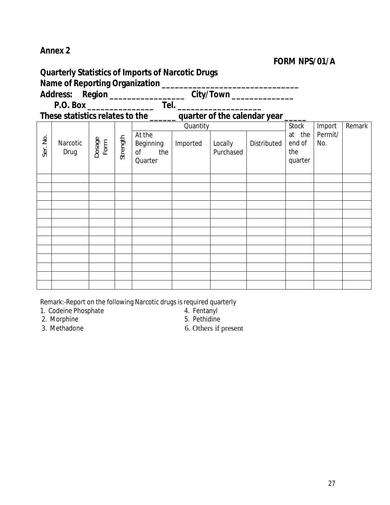|          | <b>Quarterly Statistics of Imports of Narcotic Drugs</b>                  |                |  |                                                                                                                                                                                                                                                                    |          |                      |             |                                    |                |        |  |
|----------|---------------------------------------------------------------------------|----------------|--|--------------------------------------------------------------------------------------------------------------------------------------------------------------------------------------------------------------------------------------------------------------------|----------|----------------------|-------------|------------------------------------|----------------|--------|--|
|          |                                                                           |                |  |                                                                                                                                                                                                                                                                    |          |                      |             |                                    |                |        |  |
|          |                                                                           |                |  | Address: Region __________________________ City/Town _______________                                                                                                                                                                                               |          |                      |             |                                    |                |        |  |
|          |                                                                           |                |  |                                                                                                                                                                                                                                                                    |          |                      |             |                                    |                |        |  |
|          | These statistics relates to the ______ quarter of the calendar year _____ |                |  |                                                                                                                                                                                                                                                                    |          |                      |             |                                    |                |        |  |
|          |                                                                           |                |  |                                                                                                                                                                                                                                                                    | Quantity |                      |             | Stock                              | Import         | Remark |  |
| Ser. No. | Narcotic<br>Drug                                                          | Dosage<br>Form |  | At the<br>$\frac{25}{50}$ and the Beginning<br>$\frac{1}{50}$ of the discrepance of the discrete set of the discrete set of the discrete set of the discrete set of the discrete set of the discrete set of the discrete set of the discrete set<br>the<br>Quarter | Imported | Locally<br>Purchased | Distributed | at the<br>end of<br>the<br>quarter | Permit/<br>No. |        |  |
|          |                                                                           |                |  |                                                                                                                                                                                                                                                                    |          |                      |             |                                    |                |        |  |
|          |                                                                           |                |  |                                                                                                                                                                                                                                                                    |          |                      |             |                                    |                |        |  |
|          |                                                                           |                |  |                                                                                                                                                                                                                                                                    |          |                      |             |                                    |                |        |  |
|          |                                                                           |                |  |                                                                                                                                                                                                                                                                    |          |                      |             |                                    |                |        |  |
|          |                                                                           |                |  |                                                                                                                                                                                                                                                                    |          |                      |             |                                    |                |        |  |
|          |                                                                           |                |  |                                                                                                                                                                                                                                                                    |          |                      |             |                                    |                |        |  |
|          |                                                                           |                |  |                                                                                                                                                                                                                                                                    |          |                      |             |                                    |                |        |  |
|          |                                                                           |                |  |                                                                                                                                                                                                                                                                    |          |                      |             |                                    |                |        |  |
|          |                                                                           |                |  |                                                                                                                                                                                                                                                                    |          |                      |             |                                    |                |        |  |
|          |                                                                           |                |  |                                                                                                                                                                                                                                                                    |          |                      |             |                                    |                |        |  |
|          |                                                                           |                |  |                                                                                                                                                                                                                                                                    |          |                      |             |                                    |                |        |  |

Remark:-Report on the following Narcotic drugs is required quarterly

- 1. Codeine Phosphate **4. Fentanyl**
- 
- 2. Morphine 5. Pethidine 5. Pethidine 5. Pethidine 5. Pethidine 5. Pethidine 5. Pethidine 5. Pethidine 5. Pethidine 5. Pethidine 5. Pethidine 5. Pethidine 5. Pethidine 5. Pethidine 5. Pethidine 5. Pethidine 5. Pethidine 5.
- -
	- 6. Others if present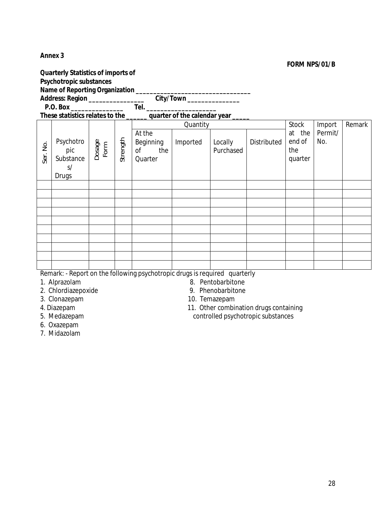**FORM NPS/01/B**

|          | Quarterly Statistics of imports of<br>Psychotropic substances<br>These statistics relates to the ______ quarter of the calendar year _____ |                |          |                                          |          |                      |             |                                    |                |        |
|----------|--------------------------------------------------------------------------------------------------------------------------------------------|----------------|----------|------------------------------------------|----------|----------------------|-------------|------------------------------------|----------------|--------|
|          |                                                                                                                                            |                |          |                                          | Quantity |                      |             | Stock                              | Import         | Remark |
| Ser. No. | Psychotro<br>pic<br>Substance<br>$\mathcal{S}/$<br>Drugs                                                                                   | Dosage<br>Form | Strength | At the<br>Beginning<br>of the<br>Quarter | Imported | Locally<br>Purchased | Distributed | at the<br>end of<br>the<br>quarter | Permit/<br>No. |        |
|          |                                                                                                                                            |                |          |                                          |          |                      |             |                                    |                |        |
|          |                                                                                                                                            |                |          |                                          |          |                      |             |                                    |                |        |
|          |                                                                                                                                            |                |          |                                          |          |                      |             |                                    |                |        |
|          |                                                                                                                                            |                |          |                                          |          |                      |             |                                    |                |        |
|          |                                                                                                                                            |                |          |                                          |          |                      |             |                                    |                |        |
|          |                                                                                                                                            |                |          |                                          |          |                      |             |                                    |                |        |
|          |                                                                                                                                            |                |          |                                          |          |                      |             |                                    |                |        |
|          |                                                                                                                                            |                |          |                                          |          |                      |             |                                    |                |        |
|          |                                                                                                                                            |                |          |                                          |          |                      |             |                                    |                |        |

Remark: - Report on the following psychotropic drugs is required quarterly

1. Alprazolam 8. Pentobarbitone

- 
- 
- 
- 6. Oxazepam
- 7. Midazolam
- 2. Chlordiazepoxide 9. Phenobarbitone<br>
3. Clonazepam
	- 10. Temazepam
- 4. Diazepam 11. Other combination drugs containing<br>5. Medazepam 11. Other combination drugs containing<br>controlled psychotropic substances
	- controlled psychotropic substances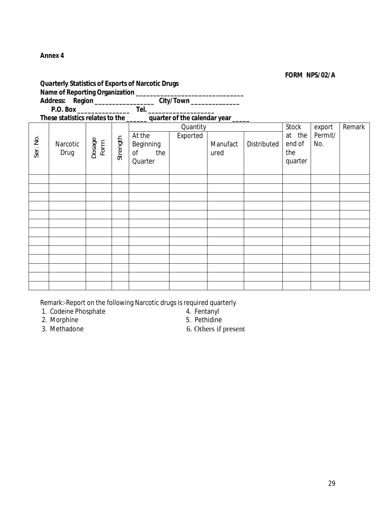**FORM NPS/02/A**

|                                                                           | Quarterly Statistics of Exports of Narcotic Drugs |                |          |                                          |          |                  |             |                                    |                |        |
|---------------------------------------------------------------------------|---------------------------------------------------|----------------|----------|------------------------------------------|----------|------------------|-------------|------------------------------------|----------------|--------|
|                                                                           |                                                   |                |          |                                          |          |                  |             |                                    |                |        |
|                                                                           |                                                   |                |          |                                          |          |                  |             |                                    |                |        |
| These statistics relates to the ______ quarter of the calendar year _____ |                                                   |                |          |                                          |          |                  |             |                                    |                |        |
|                                                                           |                                                   |                |          |                                          |          |                  |             |                                    |                |        |
|                                                                           |                                                   |                |          |                                          | Quantity |                  |             | Stock                              | export         | Remark |
| Ser. No.                                                                  | Narcotic<br>Drug                                  | Dosage<br>Form | Strength | At the<br>Beginning<br>of the<br>Quarter | Exported | Manufact<br>ured | Distributed | at the<br>end of<br>the<br>quarter | Permit/<br>No. |        |
|                                                                           |                                                   |                |          |                                          |          |                  |             |                                    |                |        |
|                                                                           |                                                   |                |          |                                          |          |                  |             |                                    |                |        |
|                                                                           |                                                   |                |          |                                          |          |                  |             |                                    |                |        |
|                                                                           |                                                   |                |          |                                          |          |                  |             |                                    |                |        |
|                                                                           |                                                   |                |          |                                          |          |                  |             |                                    |                |        |
|                                                                           |                                                   |                |          |                                          |          |                  |             |                                    |                |        |
|                                                                           |                                                   |                |          |                                          |          |                  |             |                                    |                |        |
|                                                                           |                                                   |                |          |                                          |          |                  |             |                                    |                |        |
|                                                                           |                                                   |                |          |                                          |          |                  |             |                                    |                |        |
|                                                                           |                                                   |                |          |                                          |          |                  |             |                                    |                |        |
|                                                                           |                                                   |                |          |                                          |          |                  |             |                                    |                |        |
|                                                                           |                                                   |                |          |                                          |          |                  |             |                                    |                |        |
|                                                                           |                                                   |                |          |                                          |          |                  |             |                                    |                |        |

Remark:-Report on the following Narcotic drugs is required quarterly<br>1. Codeine Phosphate 4. Fentanyl

- 1. Codeine Phosphate<br>
2. Morphine<br>
2. Morphine<br>
4. Fethidine
- 2. Morphine

- 
- 3. Methadone 6. Others if present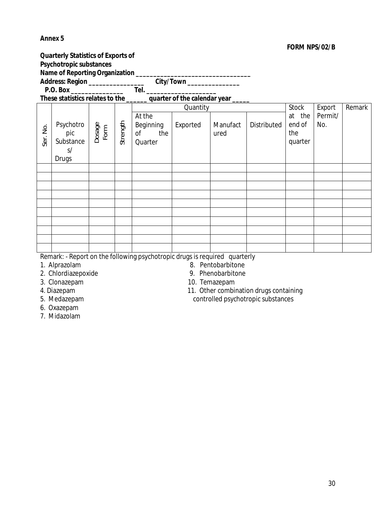|                                                                                                                                                                                                                                                | Quarterly Statistics of Exports of                      |                |          |                                          |          |                  |             |                                    |                |        |
|------------------------------------------------------------------------------------------------------------------------------------------------------------------------------------------------------------------------------------------------|---------------------------------------------------------|----------------|----------|------------------------------------------|----------|------------------|-------------|------------------------------------|----------------|--------|
|                                                                                                                                                                                                                                                | Psychotropic substances                                 |                |          |                                          |          |                  |             |                                    |                |        |
|                                                                                                                                                                                                                                                |                                                         |                |          |                                          |          |                  |             |                                    |                |        |
|                                                                                                                                                                                                                                                |                                                         |                |          |                                          |          |                  |             |                                    |                |        |
|                                                                                                                                                                                                                                                |                                                         |                |          |                                          |          |                  |             |                                    |                |        |
| Address: Region City/Town City/Town City/Town P.O. Box Figure 2. These statistics relates to the Contract Contract Contract Contract Contract Contract Contract Contract Contract Contract Contract Contract Contract Contract<br><b>Stock</b> |                                                         |                |          |                                          |          |                  |             |                                    |                |        |
|                                                                                                                                                                                                                                                |                                                         |                |          |                                          | Quantity |                  |             |                                    | Export         | Remark |
| Ser. No.                                                                                                                                                                                                                                       | Psychotro<br>pic<br>Substance<br>$\mathsf{s}/$<br>Drugs | Dosage<br>Form | Strength | At the<br>Beginning<br>of the<br>Quarter | Exported | Manufact<br>ured | Distributed | at the<br>end of<br>the<br>quarter | Permit/<br>No. |        |
|                                                                                                                                                                                                                                                |                                                         |                |          |                                          |          |                  |             |                                    |                |        |
|                                                                                                                                                                                                                                                |                                                         |                |          |                                          |          |                  |             |                                    |                |        |
|                                                                                                                                                                                                                                                |                                                         |                |          |                                          |          |                  |             |                                    |                |        |
|                                                                                                                                                                                                                                                |                                                         |                |          |                                          |          |                  |             |                                    |                |        |
|                                                                                                                                                                                                                                                |                                                         |                |          |                                          |          |                  |             |                                    |                |        |
|                                                                                                                                                                                                                                                |                                                         |                |          |                                          |          |                  |             |                                    |                |        |
|                                                                                                                                                                                                                                                |                                                         |                |          |                                          |          |                  |             |                                    |                |        |
|                                                                                                                                                                                                                                                |                                                         |                |          |                                          |          |                  |             |                                    |                |        |
|                                                                                                                                                                                                                                                |                                                         |                |          |                                          |          |                  |             |                                    |                |        |
|                                                                                                                                                                                                                                                |                                                         |                |          |                                          |          |                  |             |                                    |                |        |

Remark: - Report on the following psychotropic drugs is required quarterly<br>1. Alprazolam 8. Pentobarbitone

- 
- 2. Chlordiazepoxide 1992 12. Chlordiazepoxide 12. Phenobarbitone 10. Temazepam
- 
- 
- 
- 6. Oxazepam
- 7. Midazolam
- 8. Pentobarbitone
- 
- 
- 3. Clonazepam 10. Temazepam 10. Temazepam 11. Other combined a series and the series of the series of the series of the series of the series of the series of the series of the series of the series of the series of the seri 4. Diazepam 11. Other combination drugs containing<br>5. Medazepam controlled psychotropic substances
	- controlled psychotropic substances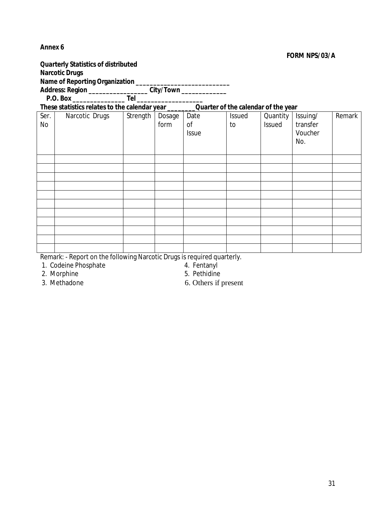|      | Quarterly Statistics of distributed<br>Narcotic Drugs |               |                           |        |          |                            |        |
|------|-------------------------------------------------------|---------------|---------------------------|--------|----------|----------------------------|--------|
| Ser. | Narcotic Drugs   Strength                             | Dosage   Date |                           | Issued | Quantity | Issuing/                   | Remark |
| No   |                                                       | form          | of<br><i><b>Issue</b></i> | to     | Issued   | transfer<br>Voucher<br>No. |        |
|      |                                                       |               |                           |        |          |                            |        |
|      |                                                       |               |                           |        |          |                            |        |
|      |                                                       |               |                           |        |          |                            |        |
|      |                                                       |               |                           |        |          |                            |        |
|      |                                                       |               |                           |        |          |                            |        |
|      |                                                       |               |                           |        |          |                            |        |
|      |                                                       |               |                           |        |          |                            |        |
|      |                                                       |               |                           |        |          |                            |        |
|      |                                                       |               |                           |        |          |                            |        |
|      |                                                       |               |                           |        |          |                            |        |
|      |                                                       |               |                           |        |          |                            |        |

Remark: - Report on the following Narcotic Drugs is required quarterly.

1. Codeine Phosphate **4. Fentanyl** 

2. Morphine 2. Morphine 5. Pethidine 3. Methadone 3. Methadone 3. Methodoxe 3. Methodoxe 3. Methodoxe 3. Methodoxe 3. Methodoxe 3. Methodoxe 3. Methodoxe 3. Methodoxe 3. Methodoxe 3. Methodoxe 3. Methodoxe 3. Methodoxe 3.

6. Others if present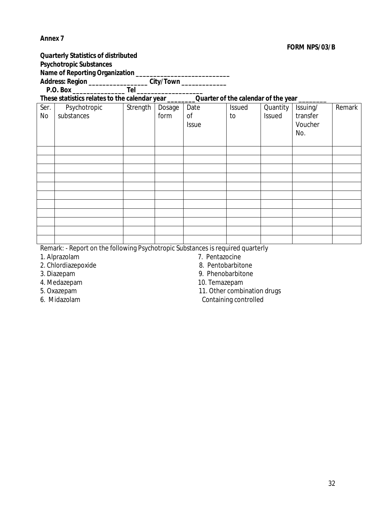| Quarterly Statistics of distributed<br>Psychotropic Substances |                                |  |                     |              |        |               |          |        |  |
|----------------------------------------------------------------|--------------------------------|--|---------------------|--------------|--------|---------------|----------|--------|--|
|                                                                | Ser.   Psychotropic   Strength |  | Dosage $\vert$ Date |              | Issued | Quantity      | Issuing/ | Remark |  |
| No                                                             | substances                     |  | form                | of           | to     | <b>Issued</b> | transfer |        |  |
|                                                                |                                |  |                     | <b>Issue</b> |        |               | Voucher  |        |  |
|                                                                |                                |  |                     |              |        |               | No.      |        |  |
|                                                                |                                |  |                     |              |        |               |          |        |  |
|                                                                |                                |  |                     |              |        |               |          |        |  |
|                                                                |                                |  |                     |              |        |               |          |        |  |
|                                                                |                                |  |                     |              |        |               |          |        |  |
|                                                                |                                |  |                     |              |        |               |          |        |  |
|                                                                |                                |  |                     |              |        |               |          |        |  |
|                                                                |                                |  |                     |              |        |               |          |        |  |
|                                                                |                                |  |                     |              |        |               |          |        |  |
|                                                                |                                |  |                     |              |        |               |          |        |  |
|                                                                |                                |  |                     |              |        |               |          |        |  |
|                                                                |                                |  |                     |              |        |               |          |        |  |
|                                                                |                                |  |                     |              |        |               |          |        |  |

Remark: - Report on the following Psychotropic Substances is required quarterly<br>1. Alprazolam 7. Pentazocine

2. Chlordiazepoxide<br>3. Diazepam

- 
- 
- 
- 
- 
- 1. Alprazolam 7. Pentazocine<br>
2. Chlordiazepoxide 8. Pentobarbitone
- 3. Diazepam 9. Phenobarbitone<br>
4. Medazepam 10. Temazepam

4. Medazepam 10. Temazepam

11. Other combination drugs

6. Midazolam Containing controlled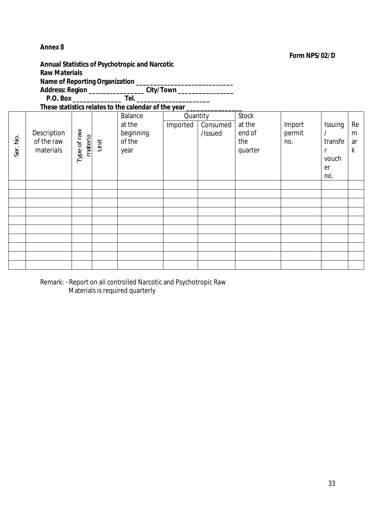**Form NPS/02/D**

|          | <b>Raw Materials</b>                   |                                | Annual Statistics of Psychotropic and Narcotic                       |                                      |                     |                                    |                         |                                                                  |                    |
|----------|----------------------------------------|--------------------------------|----------------------------------------------------------------------|--------------------------------------|---------------------|------------------------------------|-------------------------|------------------------------------------------------------------|--------------------|
|          |                                        |                                |                                                                      |                                      |                     |                                    |                         |                                                                  |                    |
|          |                                        |                                |                                                                      |                                      |                     |                                    |                         |                                                                  |                    |
|          |                                        |                                |                                                                      |                                      |                     |                                    |                         |                                                                  |                    |
|          |                                        |                                | These statistics relates to the calendar of the year _______________ |                                      |                     |                                    |                         |                                                                  |                    |
|          |                                        |                                | Balance                                                              | Quantity<br><b>Contract Contract</b> |                     | <b>Stock</b>                       |                         |                                                                  |                    |
| Ser. No. | Description<br>of the raw<br>materials | Type of raw<br>materia<br>Unit | at the<br>beginning<br>of the<br>year                                | Imported                             | Consumed<br>/Issued | at the<br>end of<br>the<br>quarter | Import<br>permit<br>no. | <b>Issuing</b><br>$\prime$<br>transfe<br>r<br>vouch<br>er<br>no. | Re<br>m<br>ar<br>k |
|          |                                        |                                |                                                                      |                                      |                     |                                    |                         |                                                                  |                    |
|          |                                        |                                |                                                                      |                                      |                     |                                    |                         |                                                                  |                    |
|          |                                        |                                |                                                                      |                                      |                     |                                    |                         |                                                                  |                    |
|          |                                        |                                |                                                                      |                                      |                     |                                    |                         |                                                                  |                    |
|          |                                        |                                |                                                                      |                                      |                     |                                    |                         |                                                                  |                    |
|          |                                        |                                |                                                                      |                                      |                     |                                    |                         |                                                                  |                    |
|          |                                        |                                |                                                                      |                                      |                     |                                    |                         |                                                                  |                    |
|          |                                        |                                |                                                                      |                                      |                     |                                    |                         |                                                                  |                    |
|          |                                        |                                |                                                                      |                                      |                     |                                    |                         |                                                                  |                    |
|          |                                        |                                |                                                                      |                                      |                     |                                    |                         |                                                                  |                    |

Remark: - Report on all controlled Narcotic and Psychotropic Raw Materials is required quarterly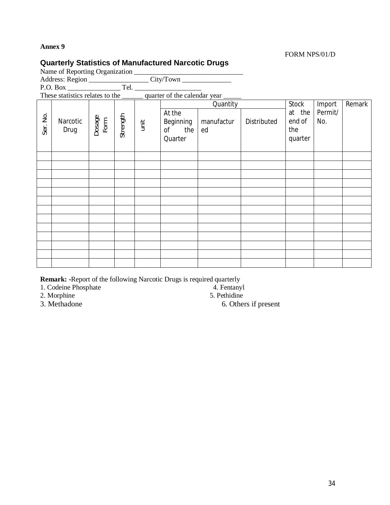#### FORM NPS/01/D

#### **Quarterly Statistics of Manufactured Narcotic Drugs**

Name of Reporting Organization \_\_\_\_\_\_\_\_\_\_\_\_\_\_\_\_\_\_\_\_\_\_\_\_\_\_\_\_\_\_\_

|          |                  |                                    |  | Quantity                    |                              |             | Stock                              | Import         | Remark |
|----------|------------------|------------------------------------|--|-----------------------------|------------------------------|-------------|------------------------------------|----------------|--------|
| Ser. No. | Narcotic<br>Drug | Dosage<br>Form<br>Strength<br>unit |  | At the<br>of the<br>Quarter | Beginning   manufactur<br>ed | Distributed | at the<br>end of<br>the<br>quarter | Permit/<br>No. |        |
|          |                  |                                    |  |                             |                              |             |                                    |                |        |
|          |                  |                                    |  |                             |                              |             |                                    |                |        |
|          |                  |                                    |  |                             |                              |             |                                    |                |        |
|          |                  |                                    |  |                             |                              |             |                                    |                |        |
|          |                  |                                    |  |                             |                              |             |                                    |                |        |
|          |                  |                                    |  |                             |                              |             |                                    |                |        |
|          |                  |                                    |  |                             |                              |             |                                    |                |        |
|          |                  |                                    |  |                             |                              |             |                                    |                |        |
|          |                  |                                    |  |                             |                              |             |                                    |                |        |
|          |                  |                                    |  |                             |                              |             |                                    |                |        |
|          |                  |                                    |  |                             |                              |             |                                    |                |        |
|          |                  |                                    |  |                             |                              |             |                                    |                |        |
|          |                  |                                    |  |                             |                              |             |                                    |                |        |

**Remark: -**Report of the following Narcotic Drugs is required quarterly

1. Codeine Phosphate 4. Fentanyl

2. Morphine 5. Pethidine

3. Methadone 6. Others if present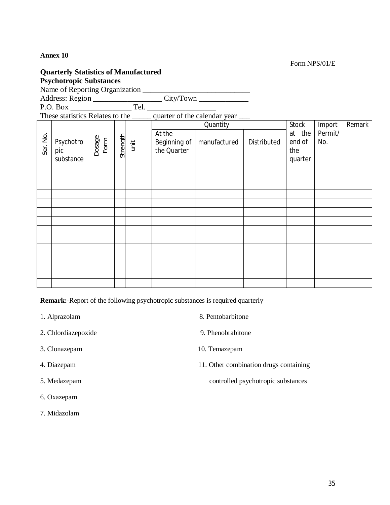#### Form NPS/01/E

Remark

### **Quarterly Statistics of Manufactured Psychotropic Substances** Name of Reporting Organization \_\_\_\_\_\_\_\_\_\_\_\_\_\_\_\_\_\_\_\_\_\_\_\_\_\_\_\_ Address: Region \_\_\_\_\_\_\_\_\_\_\_\_\_\_\_\_\_\_ City/Town \_\_\_\_\_\_\_\_\_\_\_\_\_ P.O. Box \_\_\_\_\_\_\_\_\_\_\_\_\_\_\_\_ Tel. \_\_\_\_\_\_\_\_\_\_\_\_\_\_\_\_\_\_ These statistics Relates to the Quantity Stock Import At the Permit/ at the Ser. No. **Strength**  Ser. No. Dosage Form Psychotro Beginning of manufactured Distributed end of No. unit pic the Quarter the substance quarter

**Remark:-**Report of the following psychotropic substances is required quarterly

| 1. Alprazolam       | 8. Pentobarbitone                      |
|---------------------|----------------------------------------|
| 2. Chlordiazepoxide | 9. Phenobrabitone                      |
| 3. Clonazepam       | 10. Temazepam                          |
| 4. Diazepam         | 11. Other combination drugs containing |
| 5. Medazepam        | controlled psychotropic substances     |
| 6. Oxazepam         |                                        |

7. Midazolam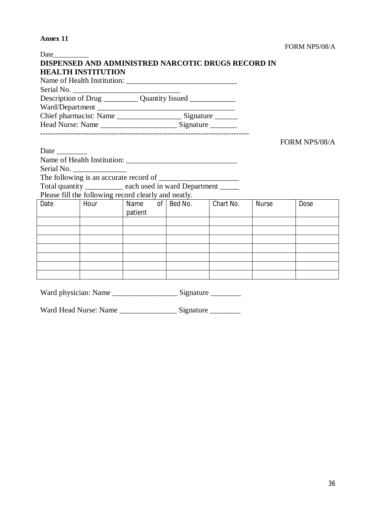| Date $\_\_$                                                                                                 |         |            |           |              |               |
|-------------------------------------------------------------------------------------------------------------|---------|------------|-----------|--------------|---------------|
| DISPENSED AND ADMINISTRED NARCOTIC DRUGS RECORD IN                                                          |         |            |           |              |               |
| <b>HEALTH INSTITUTION</b>                                                                                   |         |            |           |              |               |
|                                                                                                             |         |            |           |              |               |
|                                                                                                             |         |            |           |              |               |
| Description of Drug ____________ Quantity Issued ____________                                               |         |            |           |              |               |
|                                                                                                             |         |            |           |              |               |
| Ward/Department<br>Chief pharmacist: Name<br><u>Chief pharmacist: Name</u><br><u>Chief pharmacist: Name</u> |         |            |           |              |               |
|                                                                                                             |         |            |           |              |               |
|                                                                                                             |         |            |           |              |               |
|                                                                                                             |         |            |           |              | FORM NPS/08/A |
|                                                                                                             |         |            |           |              |               |
| Date $\_\_$                                                                                                 |         |            |           |              |               |
|                                                                                                             |         |            |           |              |               |
| Serial No.                                                                                                  |         |            |           |              |               |
|                                                                                                             |         |            |           |              |               |
| Total quantity _________ each used in ward Department _____                                                 |         |            |           |              |               |
| Please fill the following record clearly and neatly.                                                        |         |            |           |              |               |
| Date<br>Hour                                                                                                | Name    | of Bed No. | Chart No. | <b>Nurse</b> | Dose          |
|                                                                                                             | patient |            |           |              |               |
|                                                                                                             |         |            |           |              |               |
|                                                                                                             |         |            |           |              |               |
|                                                                                                             |         |            |           |              |               |
|                                                                                                             |         |            |           |              |               |
|                                                                                                             |         |            |           |              |               |
|                                                                                                             |         |            |           |              |               |
|                                                                                                             |         |            |           |              |               |
|                                                                                                             |         |            |           |              |               |

Ward physician: Name \_\_\_\_\_\_\_\_\_\_\_\_\_\_\_\_\_ Signature \_\_\_\_\_\_\_\_

Ward Head Nurse: Name \_\_\_\_\_\_\_\_\_\_\_\_\_\_\_\_\_\_\_\_\_\_ Signature \_\_\_\_\_\_\_\_\_\_\_\_\_\_\_\_\_\_\_\_\_\_\_\_\_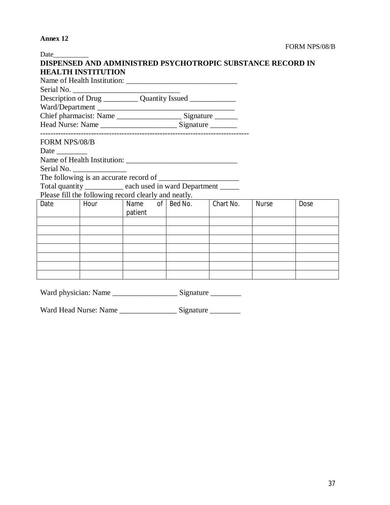| Date                 |                                                                |         |  |                                                            |       |      |
|----------------------|----------------------------------------------------------------|---------|--|------------------------------------------------------------|-------|------|
|                      |                                                                |         |  | DISPENSED AND ADMINISTRED PSYCHOTROPIC SUBSTANCE RECORD IN |       |      |
|                      | <b>HEALTH INSTITUTION</b>                                      |         |  |                                                            |       |      |
|                      |                                                                |         |  |                                                            |       |      |
|                      |                                                                |         |  |                                                            |       |      |
|                      | Description of Drug ____________ Quantity Issued _____________ |         |  |                                                            |       |      |
|                      |                                                                |         |  |                                                            |       |      |
|                      |                                                                |         |  |                                                            |       |      |
|                      |                                                                |         |  |                                                            |       |      |
| <b>FORM NPS/08/B</b> |                                                                |         |  |                                                            |       |      |
|                      |                                                                |         |  |                                                            |       |      |
|                      |                                                                |         |  |                                                            |       |      |
|                      | Serial No. $\_\_\_\_\_\_\_\_\_\_\_\_\_\_\_\_\_\_\_$            |         |  |                                                            |       |      |
|                      |                                                                |         |  |                                                            |       |      |
|                      | Total quantity _________ each used in ward Department _____    |         |  |                                                            |       |      |
|                      | Please fill the following record clearly and neatly.           |         |  |                                                            |       |      |
| Date                 | Hour l                                                         | patient |  | Name of Bed No. Chart No.                                  | Nurse | Dose |
|                      |                                                                |         |  |                                                            |       |      |
|                      |                                                                |         |  |                                                            |       |      |
|                      |                                                                |         |  |                                                            |       |      |
|                      |                                                                |         |  |                                                            |       |      |
|                      |                                                                |         |  |                                                            |       |      |
|                      |                                                                |         |  |                                                            |       |      |
|                      |                                                                |         |  |                                                            |       |      |
|                      |                                                                |         |  |                                                            |       |      |

Ward physician: Name \_\_\_\_\_\_\_\_\_\_\_\_\_\_\_\_\_ Signature \_\_\_\_\_\_\_\_

Ward Head Nurse: Name \_\_\_\_\_\_\_\_\_\_\_\_\_\_\_\_\_\_\_\_\_\_ Signature \_\_\_\_\_\_\_\_\_\_\_\_\_\_\_\_\_\_\_\_\_\_\_\_\_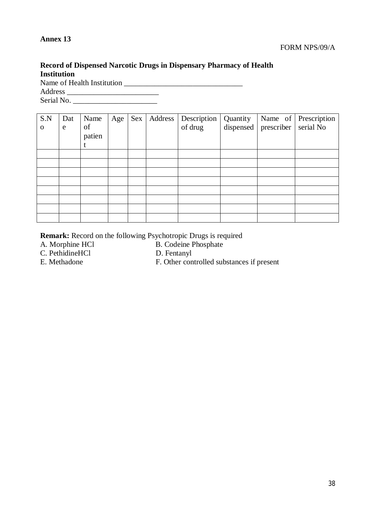#### **Record of Dispensed Narcotic Drugs in Dispensary Pharmacy of Health Institution**

Name of Health Institution \_\_\_\_\_\_\_\_\_\_\_\_\_\_\_\_\_\_\_\_\_\_\_\_\_\_\_\_\_\_\_ Address \_\_\_\_\_\_\_\_\_\_\_\_\_\_\_\_\_\_\_\_\_\_\_\_ Serial No. \_\_\_\_\_\_\_\_\_\_\_\_\_\_\_\_\_\_\_\_\_\_

| S.N<br>$\mathbf{O}$ | Dat<br>e | Name<br>of | Age | Sex | Address   Description<br>of drug | Quantity<br>dispensed | prescriber | Name of Prescription<br>serial No |
|---------------------|----------|------------|-----|-----|----------------------------------|-----------------------|------------|-----------------------------------|
|                     |          | patien     |     |     |                                  |                       |            |                                   |
|                     |          |            |     |     |                                  |                       |            |                                   |
|                     |          |            |     |     |                                  |                       |            |                                   |
|                     |          |            |     |     |                                  |                       |            |                                   |
|                     |          |            |     |     |                                  |                       |            |                                   |
|                     |          |            |     |     |                                  |                       |            |                                   |
|                     |          |            |     |     |                                  |                       |            |                                   |
|                     |          |            |     |     |                                  |                       |            |                                   |
|                     |          |            |     |     |                                  |                       |            |                                   |
|                     |          |            |     |     |                                  |                       |            |                                   |

**Remark:** Record on the following Psychotropic Drugs is required A. Morphine HCl B. Codeine Phosphate

- B. Codeine Phosphate
- C. PethidineHCl D. Fentanyl
	-
- 
- E. Methadone F. Other controlled substances if present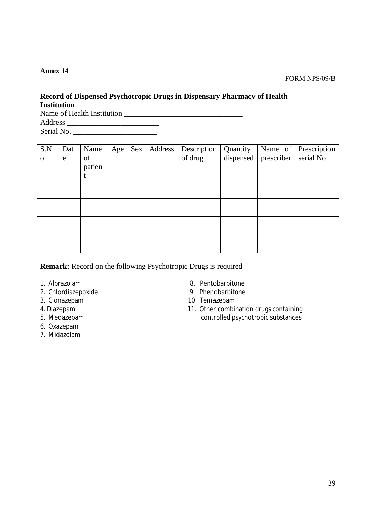#### FORM NPS/09/B

### **Record of Dispensed Psychotropic Drugs in Dispensary Pharmacy of Health Institution**

Name of Health Institution \_\_\_\_\_\_\_\_\_\_\_\_\_\_\_\_\_\_\_\_\_\_\_\_\_\_\_\_\_\_\_ Address \_\_\_\_\_\_\_\_\_\_\_\_\_\_\_\_\_\_\_\_\_\_\_\_ Serial No. \_\_\_\_\_\_\_\_\_\_\_\_\_\_\_\_\_\_\_\_\_\_

| S.N          | Dat | Name   | Age | Sex | Address   Description | Quantity  |            | Name of Prescription |
|--------------|-----|--------|-----|-----|-----------------------|-----------|------------|----------------------|
| $\mathbf{O}$ | e   | of     |     |     | of drug               | dispensed | prescriber | serial No            |
|              |     | patien |     |     |                       |           |            |                      |
|              |     |        |     |     |                       |           |            |                      |
|              |     |        |     |     |                       |           |            |                      |
|              |     |        |     |     |                       |           |            |                      |
|              |     |        |     |     |                       |           |            |                      |
|              |     |        |     |     |                       |           |            |                      |
|              |     |        |     |     |                       |           |            |                      |
|              |     |        |     |     |                       |           |            |                      |
|              |     |        |     |     |                       |           |            |                      |
|              |     |        |     |     |                       |           |            |                      |

**Remark:** Record on the following Psychotropic Drugs is required

- 
- 2. Chlordiazepoxide 9. Phenobarbitone
- 
- 
- 
- 6. Oxazepam
- 7. Midazolam
- 1. Alprazolam 8. Pentobarbitone
	-
- 3. Clonazepam 10. Temazepam
- 4. Diazepam 11. Other combination drugs containing 5. Medazepam controlled psychotropic substances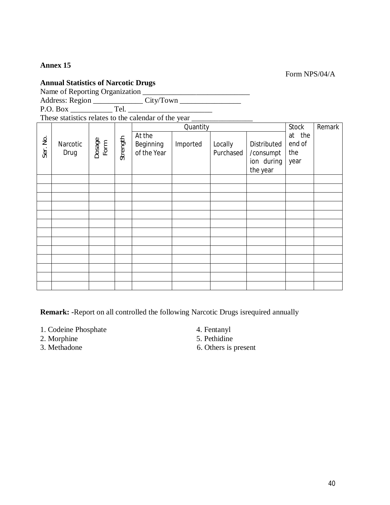#### Form NPS/04/A

#### **Annual Statistics of Narcotic Drugs**

Name of Reporting Organization \_\_\_\_\_\_\_\_\_\_\_\_\_\_\_\_\_\_\_\_\_\_\_\_\_\_\_\_

Address: Region \_\_\_\_\_\_\_\_\_\_\_\_\_ City/Town \_\_\_\_\_\_\_\_\_\_\_\_\_\_\_\_ P.O. Box \_\_\_\_\_\_\_\_\_\_\_ Tel. \_\_\_\_\_\_\_\_\_\_\_\_\_\_\_\_\_\_\_\_\_\_ These statistics relates to the calendar of the year \_\_\_\_\_\_\_\_\_\_\_\_\_\_\_\_Quantity Stock  $R_{\text{toek}}$   $R_{\text{onark}}$ 

|          |                  |                |          |                                    |          | <b>SLOCK</b>         | Remark                                             |                                 |  |
|----------|------------------|----------------|----------|------------------------------------|----------|----------------------|----------------------------------------------------|---------------------------------|--|
| Ser. No. | Narcotic<br>Drug | Dosage<br>Form | Strength | At the<br>Beginning<br>of the Year | Imported | Locally<br>Purchased | Distributed<br>/consumpt<br>ion during<br>the year | at the<br>end of<br>the<br>year |  |
|          |                  |                |          |                                    |          |                      |                                                    |                                 |  |
|          |                  |                |          |                                    |          |                      |                                                    |                                 |  |
|          |                  |                |          |                                    |          |                      |                                                    |                                 |  |
|          |                  |                |          |                                    |          |                      |                                                    |                                 |  |
|          |                  |                |          |                                    |          |                      |                                                    |                                 |  |
|          |                  |                |          |                                    |          |                      |                                                    |                                 |  |
|          |                  |                |          |                                    |          |                      |                                                    |                                 |  |
|          |                  |                |          |                                    |          |                      |                                                    |                                 |  |
|          |                  |                |          |                                    |          |                      |                                                    |                                 |  |
|          |                  |                |          |                                    |          |                      |                                                    |                                 |  |
|          |                  |                |          |                                    |          |                      |                                                    |                                 |  |
|          |                  |                |          |                                    |          |                      |                                                    |                                 |  |
|          |                  |                |          |                                    |          |                      |                                                    |                                 |  |

**Remark: -**Report on all controlled the following Narcotic Drugs isrequired annually

- 1. Codeine Phosphate 4. Fentanyl
- 2. Morphine 5. Pethidine
- 
- 
- 
- 3. Methadone 6. Others is present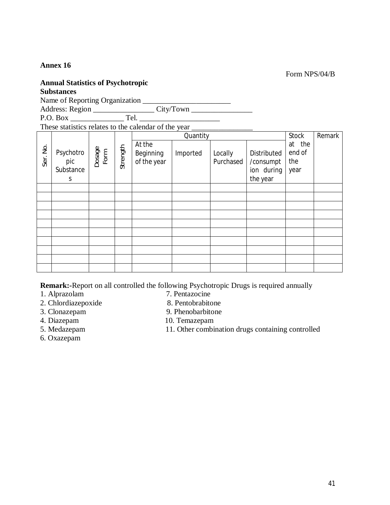#### Form NPS/04/B

### **Annual Statistics of Psychotropic**

#### **Substances**

Name of Reporting Organization \_\_\_\_\_\_\_\_\_\_\_\_\_\_\_\_\_\_\_\_\_\_\_

Address: Region \_\_\_\_\_\_\_\_\_\_\_\_\_\_\_\_ City/Town \_\_\_\_\_\_\_\_\_\_\_\_\_\_\_\_

P.O. Box \_\_\_\_\_\_\_\_\_\_\_\_\_\_ Tel. \_\_\_\_\_\_\_\_\_\_\_\_\_\_\_\_\_\_\_\_\_

These statistics relates to the calendar of the year \_\_\_\_\_\_\_\_\_\_\_\_\_\_\_\_\_\_\_\_\_\_\_\_\_\_\_\_

|          |           |                |          |             | Quantity |           |             | Stock  | Remark |
|----------|-----------|----------------|----------|-------------|----------|-----------|-------------|--------|--------|
|          |           |                |          | At the      |          |           |             | at the |        |
| Ser. No. | Psychotro | Dosage<br>Form | Strength | Beginning   | Imported | Locally   | Distributed | end of |        |
|          | pic       |                |          | of the year |          | Purchased | /consumpt   | the    |        |
|          | Substance |                |          |             |          |           | ion during  | year   |        |
|          | S         |                |          |             |          |           | the year    |        |        |
|          |           |                |          |             |          |           |             |        |        |
|          |           |                |          |             |          |           |             |        |        |
|          |           |                |          |             |          |           |             |        |        |
|          |           |                |          |             |          |           |             |        |        |
|          |           |                |          |             |          |           |             |        |        |
|          |           |                |          |             |          |           |             |        |        |
|          |           |                |          |             |          |           |             |        |        |
|          |           |                |          |             |          |           |             |        |        |
|          |           |                |          |             |          |           |             |        |        |
|          |           |                |          |             |          |           |             |        |        |

**Remark:-**Report on all controlled the following Psychotropic Drugs is required annually

- 1. Alprazolam 7. Pentazocine
- 2. Chlordiazepoxide 8. Pentobrabitone
- 3. Clonazepam 9. Phenobarbitone
- 
- 
- 4. Diazepam 10. Temazepam 10. Temazepam 11. Other combi 11. Other combination drugs containing controlled
- 6. Oxazepam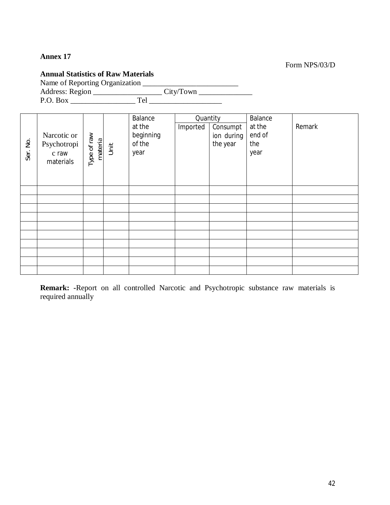#### Form NPS/03/D

### **Annual Statistics of Raw Materials**

Name of Reporting Organization \_\_\_\_\_\_\_\_\_\_\_\_\_\_\_\_\_\_\_\_\_\_\_\_\_ Address: Region \_\_\_\_\_\_\_\_\_\_\_\_\_\_\_\_\_\_ City/Town \_\_\_\_\_\_\_\_\_\_\_\_\_\_

P.O. Box \_\_\_\_\_\_\_\_\_\_\_\_\_\_\_\_\_ Tel \_\_\_\_\_\_\_\_\_\_\_\_\_\_\_\_\_\_\_

|          |             |             |                 | Balance   | Quantity |            | Balance |        |
|----------|-------------|-------------|-----------------|-----------|----------|------------|---------|--------|
|          |             |             |                 | at the    | Imported | Consumpt   | at the  | Remark |
|          | Narcotic or |             |                 | beginning |          | ion during | end of  |        |
| Ser. No. | Psychotropi | Type of raw | materia<br>Unit | of the    |          | the year   | the     |        |
|          | c raw       |             |                 | year      |          |            | year    |        |
|          | materials   |             |                 |           |          |            |         |        |
|          |             |             |                 |           |          |            |         |        |
|          |             |             |                 |           |          |            |         |        |
|          |             |             |                 |           |          |            |         |        |
|          |             |             |                 |           |          |            |         |        |
|          |             |             |                 |           |          |            |         |        |
|          |             |             |                 |           |          |            |         |        |
|          |             |             |                 |           |          |            |         |        |
|          |             |             |                 |           |          |            |         |        |
|          |             |             |                 |           |          |            |         |        |
|          |             |             |                 |           |          |            |         |        |
|          |             |             |                 |           |          |            |         |        |
|          |             |             |                 |           |          |            |         |        |

**Remark: -**Report on all controlled Narcotic and Psychotropic substance raw materials is required annually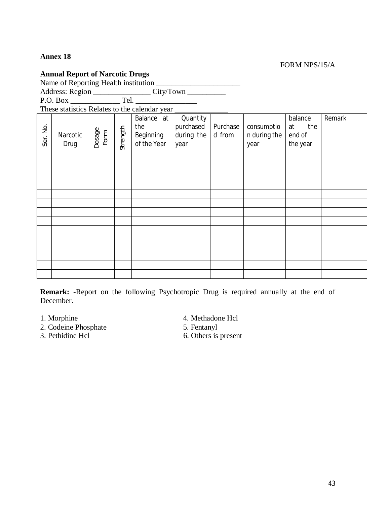### FORM NPS/15/A

### **Annual Report of Narcotic Drugs**

| Ser. No. | Narcotic<br>Drug | Dosage<br>Form | $\begin{tabular}{c} \hline \texttt{Step 1} \\ \end{tabular}$ | the I<br>Beginning during the<br>$\vert$ of the Year $\vert$ | Balance at Quantity<br>year | d from | purchased   Purchase   consumptio<br>n during the<br>year | balance<br>at the<br>end of<br>the year | Remark |
|----------|------------------|----------------|--------------------------------------------------------------|--------------------------------------------------------------|-----------------------------|--------|-----------------------------------------------------------|-----------------------------------------|--------|
|          |                  |                |                                                              |                                                              |                             |        |                                                           |                                         |        |
|          |                  |                |                                                              |                                                              |                             |        |                                                           |                                         |        |
|          |                  |                |                                                              |                                                              |                             |        |                                                           |                                         |        |
|          |                  |                |                                                              |                                                              |                             |        |                                                           |                                         |        |
|          |                  |                |                                                              |                                                              |                             |        |                                                           |                                         |        |
|          |                  |                |                                                              |                                                              |                             |        |                                                           |                                         |        |
|          |                  |                |                                                              |                                                              |                             |        |                                                           |                                         |        |
|          |                  |                |                                                              |                                                              |                             |        |                                                           |                                         |        |
|          |                  |                |                                                              |                                                              |                             |        |                                                           |                                         |        |
|          |                  |                |                                                              |                                                              |                             |        |                                                           |                                         |        |
|          |                  |                |                                                              |                                                              |                             |        |                                                           |                                         |        |
|          |                  |                |                                                              |                                                              |                             |        |                                                           |                                         |        |
|          |                  |                |                                                              |                                                              |                             |        |                                                           |                                         |        |

**Remark: -**Report on the following Psychotropic Drug is required annually at the end of December.

- 
- 1. Morphine 4. Methadone Hcl 2. Codeine Phosphate 5. Fentanyl 2. Codeine Phosphate
- 
- 
- 
- 3. Pethidine Hcl 6. Others is present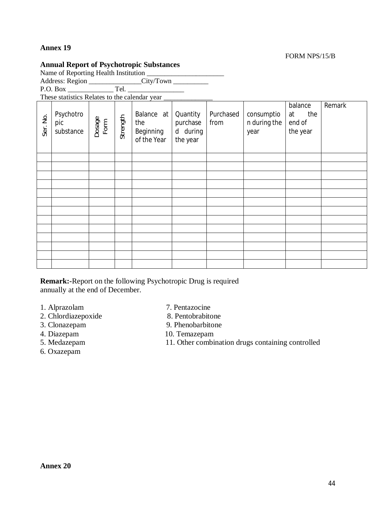#### FORM NPS/15/B

#### **Annual Report of Psychotropic Substances**

Name of Reporting Health Institution \_

Address: Region \_\_\_\_\_\_\_\_\_\_\_\_\_\_\_City/Town \_\_\_\_\_\_\_\_\_\_ P.O. Box \_\_\_\_\_\_\_\_\_\_\_\_\_ Tel. \_\_\_\_\_\_\_\_\_\_\_\_\_\_\_\_

These statistics Relates to the calendar year

| Ser. No. | Psychotro<br>pic<br>pic<br>substance | Dosage<br>Form | Strength | Balance at Quantity<br>the<br>Beginning<br>of the Year | purchase<br>d during<br>the year | Purchased<br>from | consumptio<br>n during the<br>year | balance<br>the<br>at<br>end of<br>the year | Remark |
|----------|--------------------------------------|----------------|----------|--------------------------------------------------------|----------------------------------|-------------------|------------------------------------|--------------------------------------------|--------|
|          |                                      |                |          |                                                        |                                  |                   |                                    |                                            |        |
|          |                                      |                |          |                                                        |                                  |                   |                                    |                                            |        |
|          |                                      |                |          |                                                        |                                  |                   |                                    |                                            |        |
|          |                                      |                |          |                                                        |                                  |                   |                                    |                                            |        |
|          |                                      |                |          |                                                        |                                  |                   |                                    |                                            |        |
|          |                                      |                |          |                                                        |                                  |                   |                                    |                                            |        |
|          |                                      |                |          |                                                        |                                  |                   |                                    |                                            |        |
|          |                                      |                |          |                                                        |                                  |                   |                                    |                                            |        |
|          |                                      |                |          |                                                        |                                  |                   |                                    |                                            |        |
|          |                                      |                |          |                                                        |                                  |                   |                                    |                                            |        |
|          |                                      |                |          |                                                        |                                  |                   |                                    |                                            |        |
|          |                                      |                |          |                                                        |                                  |                   |                                    |                                            |        |
|          |                                      |                |          |                                                        |                                  |                   |                                    |                                            |        |

**Remark:-**Report on the following Psychotropic Drug is required annually at the end of December.

- 1. Alprazolam 7. Pentazocine
- 2. Chlordiazepoxide 8. Pentobrabitone
- 
- 
- 
- 6. Oxazepam
- 
- 
- 3. Clonazepam 9. Phenobarbitone
- 4. Diazepam 10. Temazepam
- 5. Medazepam 11. Other combination drugs containing controlled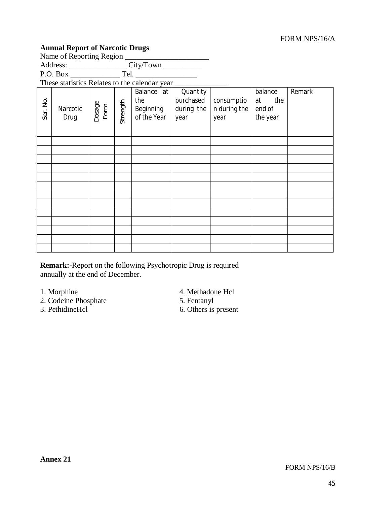### **Annual Report of Narcotic Drugs**

Name of Reporting Region \_\_\_\_\_\_\_\_\_\_\_\_\_\_\_\_\_\_\_\_\_\_

Address: \_\_\_\_\_\_\_\_\_\_\_\_\_\_\_ City/Town \_\_\_\_\_\_\_\_\_\_ P.O. Box \_\_\_\_\_\_\_\_\_\_\_\_\_ Tel. \_\_\_\_\_\_\_\_\_\_\_\_\_\_\_\_

These statistics Relates to the calendar year \_\_\_\_\_\_\_\_\_\_\_\_\_\_\_\_\_\_\_\_\_\_\_\_\_\_\_\_\_\_\_\_\_\_\_

| Ser. No. | Narcotic<br>Drug | Dosage<br>Form | Strength | These statistics relates to the calendar fear<br>Balance at<br>the<br>Beginning<br>of the Year | Quantity<br>purchased<br>during the<br>year | consumptio<br>n during the<br>year | balance<br>the<br>at<br>end of<br>the year | Remark |
|----------|------------------|----------------|----------|------------------------------------------------------------------------------------------------|---------------------------------------------|------------------------------------|--------------------------------------------|--------|
|          |                  |                |          |                                                                                                |                                             |                                    |                                            |        |
|          |                  |                |          |                                                                                                |                                             |                                    |                                            |        |
|          |                  |                |          |                                                                                                |                                             |                                    |                                            |        |
|          |                  |                |          |                                                                                                |                                             |                                    |                                            |        |
|          |                  |                |          |                                                                                                |                                             |                                    |                                            |        |
|          |                  |                |          |                                                                                                |                                             |                                    |                                            |        |
|          |                  |                |          |                                                                                                |                                             |                                    |                                            |        |
|          |                  |                |          |                                                                                                |                                             |                                    |                                            |        |
|          |                  |                |          |                                                                                                |                                             |                                    |                                            |        |
|          |                  |                |          |                                                                                                |                                             |                                    |                                            |        |
|          |                  |                |          |                                                                                                |                                             |                                    |                                            |        |
|          |                  |                |          |                                                                                                |                                             |                                    |                                            |        |
|          |                  |                |          |                                                                                                |                                             |                                    |                                            |        |

**Remark:-**Report on the following Psychotropic Drug is required annually at the end of December.

- 
- 2. Codeine Phosphate 5. Fentanyl<br>
3. Pethidine Hcl 6. Others is
- 
- 1. Morphine 4. Methadone Hcl
	-
	- 6. Others is present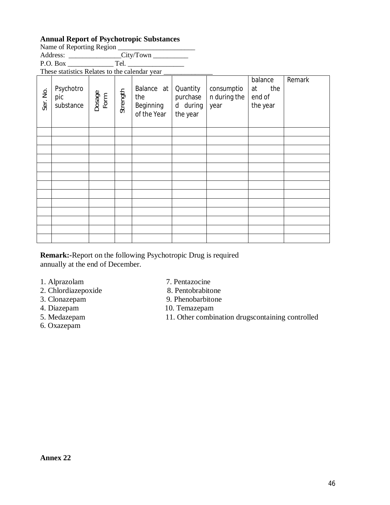#### **Annual Report of Psychotropic Substances**

Name of Reporting Region \_\_\_\_\_\_\_\_\_\_\_\_\_\_\_\_\_\_\_\_\_\_ Address: \_\_\_\_\_\_\_\_\_\_\_\_\_\_\_City/Town \_\_\_\_\_\_\_\_\_\_  $P.O. Box$  Tel.  $\overline{Q}$ 

These statistics Relates to the calendar year \_\_\_\_\_\_\_\_\_\_\_\_\_\_

| Ser. No. | Psychotro<br>pic<br>substance | Dosage<br>Form | Strength | Balance at<br>the<br>Beginning<br>of the Year | Quantity<br>purchase<br>d during<br>the year | consumptio<br>n during the<br>year | balance<br>the<br>at<br>end of<br>the year | Remark |
|----------|-------------------------------|----------------|----------|-----------------------------------------------|----------------------------------------------|------------------------------------|--------------------------------------------|--------|
|          |                               |                |          |                                               |                                              |                                    |                                            |        |
|          |                               |                |          |                                               |                                              |                                    |                                            |        |
|          |                               |                |          |                                               |                                              |                                    |                                            |        |
|          |                               |                |          |                                               |                                              |                                    |                                            |        |
|          |                               |                |          |                                               |                                              |                                    |                                            |        |
|          |                               |                |          |                                               |                                              |                                    |                                            |        |
|          |                               |                |          |                                               |                                              |                                    |                                            |        |
|          |                               |                |          |                                               |                                              |                                    |                                            |        |
|          |                               |                |          |                                               |                                              |                                    |                                            |        |
|          |                               |                |          |                                               |                                              |                                    |                                            |        |
|          |                               |                |          |                                               |                                              |                                    |                                            |        |
|          |                               |                |          |                                               |                                              |                                    |                                            |        |
|          |                               |                |          |                                               |                                              |                                    |                                            |        |

**Remark:-**Report on the following Psychotropic Drug is required annually at the end of December.

- 1. Alprazolam 7. Pentazocine
- 2. Chlordiazepoxide 8. Pentobrabitone
- 
- 
- 
- 6. Oxazepam
- 
- 
- 3. Clonazepam 9. Phenobarbitone<br>4. Diazepam 10. Temazepam
	- 10. Temazepam
- 5. Medazepam 11. Other combination drugscontaining controlled